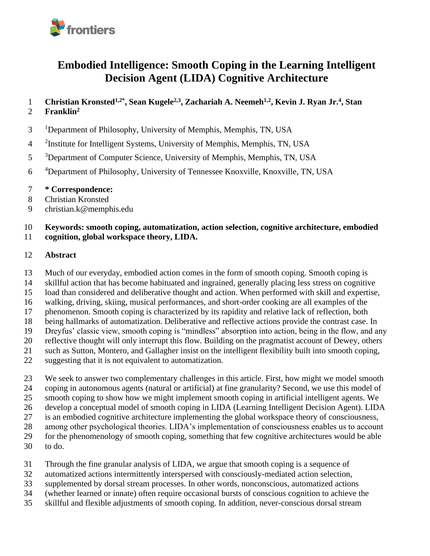

# **Embodied Intelligence: Smooth Coping in the Learning Intelligent Decision Agent (LIDA) Cognitive Architecture**

1 Christian Kronsted<sup>1,2\*</sup>, Sean Kugele<sup>2,3</sup>, Zachariah A. Neemeh<sup>1,2</sup>, Kevin J. Ryan Jr.<sup>4</sup>, Stan **Franklin<sup>2</sup>**

- <sup>1</sup> Department of Philosophy, University of Memphis, Memphis, TN, USA
- <sup>2</sup>Institute for Intelligent Systems, University of Memphis, Memphis, TN, USA
- <sup>3</sup>Department of Computer Science, University of Memphis, Memphis, TN, USA
- 6 <sup>4</sup>Department of Philosophy, University of Tennessee Knoxville, Knoxville, TN, USA
- **\* Correspondence:**
- Christian Kronsted
- christian.k@memphis.edu

#### **Keywords: smooth coping, automatization, action selection, cognitive architecture, embodied cognition, global workspace theory, LIDA.**

#### **Abstract**

Much of our everyday, embodied action comes in the form of smooth coping. Smooth coping is

skillful action that has become habituated and ingrained, generally placing less stress on cognitive

- load than considered and deliberative thought and action. When performed with skill and expertise,
- walking, driving, skiing, musical performances, and short-order cooking are all examples of the
- phenomenon. Smooth coping is characterized by its rapidity and relative lack of reflection, both
- being hallmarks of automatization. Deliberative and reflective actions provide the contrast case. In
- Dreyfus' classic view, smooth coping is "mindless" absorption into action, being in the flow, and any
- reflective thought will only interrupt this flow. Building on the pragmatist account of Dewey, others
- such as Sutton, Montero, and Gallagher insist on the intelligent flexibility built into smooth coping,
- suggesting that it is not equivalent to automatization.
- We seek to answer two complementary challenges in this article. First, how might we model smooth
- coping in autonomous agents (natural or artificial) at fine granularity? Second, we use this model of
- smooth coping to show how we might implement smooth coping in artificial intelligent agents. We develop a conceptual model of smooth coping in LIDA (Learning Intelligent Decision Agent). LIDA
- is an embodied cognitive architecture implementing the global workspace theory of consciousness,
- among other psychological theories. LIDA's implementation of consciousness enables us to account
- for the phenomenology of smooth coping, something that few cognitive architectures would be able
- to do.
- Through the fine granular analysis of LIDA, we argue that smooth coping is a sequence of
- automatized actions intermittently interspersed with consciously-mediated action selection,
- supplemented by dorsal stream processes. In other words, nonconscious, automatized actions
- (whether learned or innate) often require occasional bursts of conscious cognition to achieve the
- skillful and flexible adjustments of smooth coping. In addition, never-conscious dorsal stream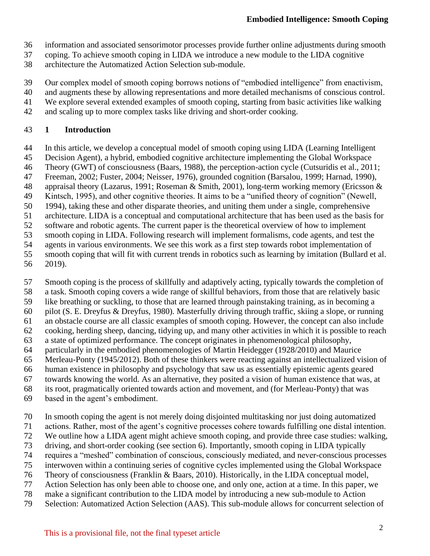- information and associated sensorimotor processes provide further online adjustments during smooth
- coping. To achieve smooth coping in LIDA we introduce a new module to the LIDA cognitive
- architecture the Automatized Action Selection sub-module.
- Our complex model of smooth coping borrows notions of "embodied intelligence" from enactivism,
- and augments these by allowing representations and more detailed mechanisms of conscious control.
- We explore several extended examples of smooth coping, starting from basic activities like walking
- and scaling up to more complex tasks like driving and short-order cooking.

#### **1 Introduction**

- In this article, we develop a conceptual model of smooth coping using LIDA (Learning Intelligent
- Decision Agent), a hybrid, embodied cognitive architecture implementing the Global Workspace
- Theory (GWT) of consciousness (Baars, 1988), the perception-action cycle (Cutsuridis et al., 2011;
- Freeman, 2002; Fuster, 2004; Neisser, 1976), grounded cognition (Barsalou, 1999; Harnad, 1990),
- appraisal theory (Lazarus, 1991; Roseman & Smith, 2001), long-term working memory (Ericsson &
- 49 Kintsch, 1995), and other cognitive theories. It aims to be a "unified theory of cognition" (Newell, 50 1994), taking these and other disparate theories, and uniting them under a single, comprehensive
- 1994), taking these and other disparate theories, and uniting them under a single, comprehensive
- architecture. LIDA is a conceptual and computational architecture that has been used as the basis for
- software and robotic agents. The current paper is the theoretical overview of how to implement
- smooth coping in LIDA. Following research will implement formalisms, code agents, and test the
- agents in various environments. We see this work as a first step towards robot implementation of
- smooth coping that will fit with current trends in robotics such as learning by imitation (Bullard et al. 2019).
- Smooth coping is the process of skillfully and adaptively acting, typically towards the completion of
- a task. Smooth coping covers a wide range of skillful behaviors, from those that are relatively basic
- like breathing or suckling, to those that are learned through painstaking training, as in becoming a
- pilot (S. E. Dreyfus & Dreyfus, 1980). Masterfully driving through traffic, skiing a slope, or running an obstacle course are all classic examples of smooth coping. However, the concept can also include
- cooking, herding sheep, dancing, tidying up, and many other activities in which it is possible to reach
- a state of optimized performance. The concept originates in phenomenological philosophy,
- particularly in the embodied phenomenologies of Martin Heidegger (1928/2010) and Maurice
- Merleau-Ponty (1945/2012). Both of these thinkers were reacting against an intellectualized vision of
- human existence in philosophy and psychology that saw us as essentially epistemic agents geared
- towards knowing the world. As an alternative, they posited a vision of human existence that was, at
- its root, pragmatically oriented towards action and movement, and (for Merleau-Ponty) that was
- based in the agent's embodiment.
- In smooth coping the agent is not merely doing disjointed multitasking nor just doing automatized
- actions. Rather, most of the agent's cognitive processes cohere towards fulfilling one distal intention.
- We outline how a LIDA agent might achieve smooth coping, and provide three case studies: walking,
- driving, and short-order cooking (see section 6). Importantly, smooth coping in LIDA typically
- requires a "meshed" combination of conscious, consciously mediated, and never-conscious processes
- interwoven within a continuing series of cognitive cycles implemented using the Global Workspace
- Theory of consciousness (Franklin & Baars, 2010). Historically, in the LIDA conceptual model,
- Action Selection has only been able to choose one, and only one, action at a time. In this paper, we
- make a significant contribution to the LIDA model by introducing a new sub-module to Action
- Selection: Automatized Action Selection (AAS). This sub-module allows for concurrent selection of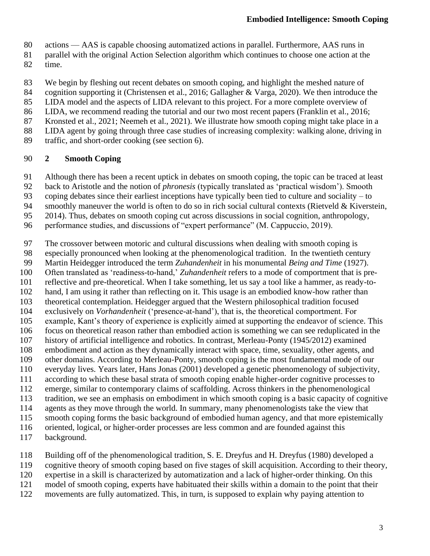- actions AAS is capable choosing automatized actions in parallel. Furthermore, AAS runs in
- parallel with the original Action Selection algorithm which continues to choose one action at the
- time.
- We begin by fleshing out recent debates on smooth coping, and highlight the meshed nature of
- cognition supporting it (Christensen et al., 2016; Gallagher & Varga, 2020). We then introduce the
- LIDA model and the aspects of LIDA relevant to this project. For a more complete overview of
- 86 LIDA, we recommend reading the tutorial and our two most recent papers (Franklin et al., 2016;
- Kronsted et al., 2021; Neemeh et al., 2021). We illustrate how smooth coping might take place in a
- LIDA agent by going through three case studies of increasing complexity: walking alone, driving in
- traffic, and short-order cooking (see section 6).

### **2 Smooth Coping**

- Although there has been a recent uptick in debates on smooth coping, the topic can be traced at least
- back to Aristotle and the notion of *phronesis* (typically translated as 'practical wisdom'). Smooth
- coping debates since their earliest inceptions have typically been tied to culture and sociality to
- 94 smoothly maneuver the world is often to do so in rich social cultural contexts (Rietveld & Kiverstein,
- 2014). Thus, debates on smooth coping cut across discussions in social cognition, anthropology,
- performance studies, and discussions of "expert performance" (M. Cappuccio, 2019).
- The crossover between motoric and cultural discussions when dealing with smooth coping is
- especially pronounced when looking at the phenomenological tradition. In the twentieth century
- Martin Heidegger introduced the term *Zuhandenheit* in his monumental *Being and Time* (1927).
- Often translated as 'readiness-to-hand,' *Zuhandenheit* refers to a mode of comportment that is pre-
- reflective and pre-theoretical. When I take something, let us say a tool like a hammer, as ready-to-
- hand, I am using it rather than reflecting on it. This usage is an embodied know-how rather than
- 103 theoretical contemplation. Heidegger argued that the Western philosophical tradition focused<br>104 exclusively on *Vorhandenheit* ('presence-at-hand'), that is, the theoretical comportment. For exclusively on *Vorhandenheit* ('presence-at-hand'), that is, the theoretical comportment. For
- example, Kant's theory of experience is explicitly aimed at supporting the endeavor of science. This
- focus on theoretical reason rather than embodied action is something we can see reduplicated in the
- history of artificial intelligence and robotics. In contrast, Merleau-Ponty (1945/2012) examined
- 108 embodiment and action as they dynamically interact with space, time, sexuality, other agents, and<br>109 other domains. According to Merleau-Ponty, smooth coping is the most fundamental mode of our
- other domains. According to Merleau-Ponty, smooth coping is the most fundamental mode of our
- everyday lives. Years later, Hans Jonas (2001) developed a genetic phenomenology of subjectivity,
- according to which these basal strata of smooth coping enable higher-order cognitive processes to
- emerge, similar to contemporary claims of scaffolding. Across thinkers in the phenomenological
- 113 tradition, we see an emphasis on embodiment in which smooth coping is a basic capacity of cognitive agents as they move through the world. In summary, many phenomenologists take the view that
- agents as they move through the world. In summary, many phenomenologists take the view that
- smooth coping forms the basic background of embodied human agency, and that more epistemically
- oriented, logical, or higher-order processes are less common and are founded against this
- background.
- 118 Building off of the phenomenological tradition, S. E. Dreyfus and H. Dreyfus (1980) developed a<br>119 cognitive theory of smooth coping based on five stages of skill acquisition. According to their theory
- cognitive theory of smooth coping based on five stages of skill acquisition. According to their theory,
- expertise in a skill is characterized by automatization and a lack of higher-order thinking. On this
- model of smooth coping, experts have habituated their skills within a domain to the point that their
- movements are fully automatized. This, in turn, is supposed to explain why paying attention to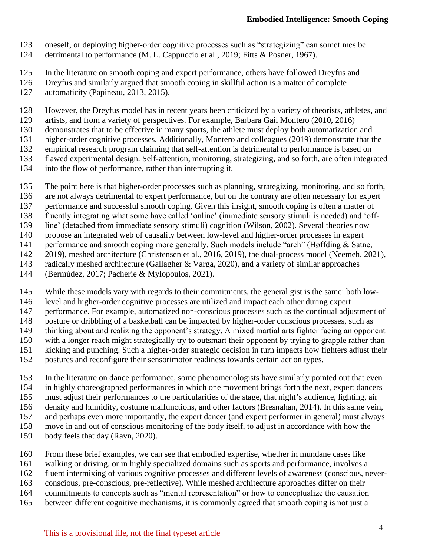- oneself, or deploying higher-order cognitive processes such as "strategizing" can sometimes be
- detrimental to performance (M. L. Cappuccio et al., 2019; Fitts & Posner, 1967).
- In the literature on smooth coping and expert performance, others have followed Dreyfus and
- Dreyfus and similarly argued that smooth coping in skillful action is a matter of complete
- automaticity (Papineau, 2013, 2015).
- However, the Dreyfus model has in recent years been criticized by a variety of theorists, athletes, and
- artists, and from a variety of perspectives. For example, Barbara Gail Montero (2010, 2016)
- demonstrates that to be effective in many sports, the athlete must deploy both automatization and
- higher-order cognitive processes. Additionally, Montero and colleagues (2019) demonstrate that the
- empirical research program claiming that self-attention is detrimental to performance is based on
- flawed experimental design. Self-attention, monitoring, strategizing, and so forth, are often integrated
- into the flow of performance, rather than interrupting it.
- The point here is that higher-order processes such as planning, strategizing, monitoring, and so forth,
- 136 are not always detrimental to expert performance, but on the contrary are often necessary for expert<br>137 performance and successful smooth coping. Given this insight, smooth coping is often a matter of
- performance and successful smooth coping. Given this insight, smooth coping is often a matter of
- fluently integrating what some have called 'online' (immediate sensory stimuli is needed) and 'off-
- line' (detached from immediate sensory stimuli) cognition (Wilson, 2002). Several theories now
- propose an integrated web of causality between low-level and higher-order processes in expert
- performance and smooth coping more generally. Such models include "arch" (Høffding & Satne,
- 2019), meshed architecture (Christensen et al., 2016, 2019), the dual-process model (Neemeh, 2021),
- radically meshed architecture (Gallagher & Varga, 2020), and a variety of similar approaches
- (Bermúdez, 2017; Pacherie & Mylopoulos, 2021).
- While these models vary with regards to their commitments, the general gist is the same: both low-
- level and higher-order cognitive processes are utilized and impact each other during expert
- performance. For example, automatized non-conscious processes such as the continual adjustment of
- 148 posture or dribbling of a basketball can be impacted by higher-order conscious processes, such as
- thinking about and realizing the opponent's strategy. A mixed martial arts fighter facing an opponent
- with a longer reach might strategically try to outsmart their opponent by trying to grapple rather than
- 151 kicking and punching. Such a higher-order strategic decision in turn impacts how fighters adjust their<br>152 postures and reconfigure their sensorimotor readiness towards certain action types.
- postures and reconfigure their sensorimotor readiness towards certain action types.
- In the literature on dance performance, some phenomenologists have similarly pointed out that even in highly choreographed performances in which one movement brings forth the next, expert dancers
- must adjust their performances to the particularities of the stage, that night's audience, lighting, air
- density and humidity, costume malfunctions, and other factors (Bresnahan, 2014). In this same vein,
- and perhaps even more importantly, the expert dancer (and expert performer in general) must always move in and out of conscious monitoring of the body itself, to adjust in accordance with how the
- 
- body feels that day (Ravn, 2020).
- From these brief examples, we can see that embodied expertise, whether in mundane cases like
- walking or driving, or in highly specialized domains such as sports and performance, involves a
- fluent intermixing of various cognitive processes and different levels of awareness (conscious, never-
- conscious, pre-conscious, pre-reflective). While meshed architecture approaches differ on their
- commitments to concepts such as "mental representation" or how to conceptualize the causation
- between different cognitive mechanisms, it is commonly agreed that smooth coping is not just a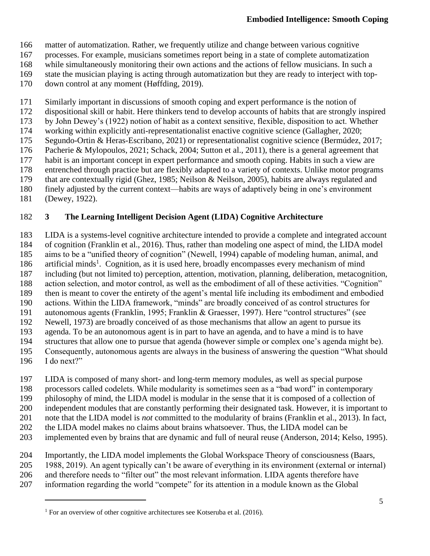matter of automatization. Rather, we frequently utilize and change between various cognitive

- processes. For example, musicians sometimes report being in a state of complete automatization
- while simultaneously monitoring their own actions and the actions of fellow musicians. In such a
- state the musician playing is acting through automatization but they are ready to interject with top-
- down control at any moment (Høffding, 2019).
- Similarly important in discussions of smooth coping and expert performance is the notion of
- dispositional skill or habit. Here thinkers tend to develop accounts of habits that are strongly inspired
- by John Dewey's (1922) notion of habit as a context sensitive, flexible, disposition to act. Whether
- 174 working within explicitly anti-representationalist enactive cognitive science (Gallagher, 2020;<br>175 Segundo-Ortin & Heras-Escribano, 2021) or representationalist cognitive science (Bermúdez, Segundo-Ortin & Heras-Escribano, 2021) or representationalist cognitive science (Bermúdez, 2017;
- Pacherie & Mylopoulos, 2021; Schack, 2004; Sutton et al., 2011), there is a general agreement that
- habit is an important concept in expert performance and smooth coping. Habits in such a view are
- entrenched through practice but are flexibly adapted to a variety of contexts. Unlike motor programs
- that are contextually rigid (Ghez, 1985; Neilson & Neilson, 2005), habits are always regulated and
- finely adjusted by the current context—habits are ways of adaptively being in one's environment
- (Dewey, 1922).

## **3 The Learning Intelligent Decision Agent (LIDA) Cognitive Architecture**

 LIDA is a systems-level cognitive architecture intended to provide a complete and integrated account of cognition (Franklin et al., 2016). Thus, rather than modeling one aspect of mind, the LIDA model aims to be a "unified theory of cognition" (Newell, 1994) capable of modeling human, animal, and 186 artificial minds<sup>1</sup>. Cognition, as it is used here, broadly encompasses every mechanism of mind including (but not limited to) perception, attention, motivation, planning, deliberation, metacognition, action selection, and motor control, as well as the embodiment of all of these activities. "Cognition" 189 then is meant to cover the entirety of the agent's mental life including its embodiment and embodied<br>190 actions. Within the LIDA framework, "minds" are broadly conceived of as control structures for actions. Within the LIDA framework, "minds" are broadly conceived of as control structures for autonomous agents (Franklin, 1995; Franklin & Graesser, 1997). Here "control structures" (see Newell, 1973) are broadly conceived of as those mechanisms that allow an agent to pursue its agenda. To be an autonomous agent is in part to have an agenda, and to have a mind is to have structures that allow one to pursue that agenda (however simple or complex one's agenda might be).

- Consequently, autonomous agents are always in the business of answering the question "What should
- I do next?"

LIDA is composed of many short- and long-term memory modules, as well as special purpose

- processors called codelets. While modularity is sometimes seen as a "bad word" in contemporary
- philosophy of mind, the LIDA model is modular in the sense that it is composed of a collection of
- independent modules that are constantly performing their designated task. However, it is important to
- note that the LIDA model is *not* committed to the modularity of brains (Franklin et al., 2013). In fact,
- 202 the LIDA model makes no claims about brains whatsoever. Thus, the LIDA model can be
- implemented even by brains that are dynamic and full of neural reuse (Anderson, 2014; Kelso, 1995).
- Importantly, the LIDA model implements the Global Workspace Theory of consciousness (Baars,
- 1988, 2019). An agent typically can't be aware of everything in its environment (external or internal)
- and therefore needs to "filter out" the most relevant information. LIDA agents therefore have
- information regarding the world "compete" for its attention in a module known as the Global

For an overview of other cognitive architectures see Kotseruba et al. (2016).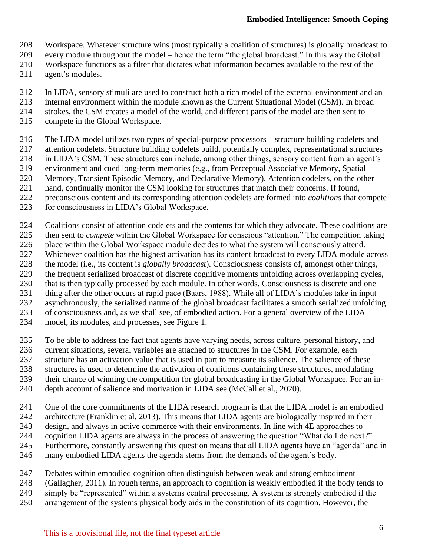- Workspace. Whatever structure wins (most typically a coalition of structures) is globally broadcast to
- every module throughout the model hence the term "the global broadcast." In this way the Global
- Workspace functions as a filter that dictates what information becomes available to the rest of the
- agent's modules.
- In LIDA, sensory stimuli are used to construct both a rich model of the external environment and an
- internal environment within the module known as the Current Situational Model (CSM). In broad
- strokes, the CSM creates a model of the world, and different parts of the model are then sent to
- compete in the Global Workspace.
- The LIDA model utilizes two types of special-purpose processors—structure building codelets and
- attention codelets. Structure building codelets build, potentially complex, representational structures
- in LIDA's CSM. These structures can include, among other things, sensory content from an agent's
- environment and cued long-term memories (e.g., from Perceptual Associative Memory, Spatial
- Memory, Transient Episodic Memory, and Declarative Memory). Attention codelets, on the other
- hand, continually monitor the CSM looking for structures that match their concerns. If found,
- preconscious content and its corresponding attention codelets are formed into *coalitions* that compete
- for consciousness in LIDA's Global Workspace.
- Coalitions consist of attention codelets and the contents for which they advocate. These coalitions are
- 225 then sent to *compete* within the Global Workspace for conscious "attention." The competition taking<br>226 place within the Global Workspace module decides to what the system will consciously attend.
- place within the Global Workspace module decides to what the system will consciously attend.
- Whichever coalition has the highest activation has its content broadcast to every LIDA module across
- the model (i.e., its content is *globally broadcast*). Consciousness consists of, amongst other things,
- the frequent serialized broadcast of discrete cognitive moments unfolding across overlapping cycles,
- that is then typically processed by each module. In other words. Consciousness is discrete and one
- 231 thing after the other occurs at rapid pace (Baars, 1988). While all of LIDA's modules take in input<br>232 asynchronously the serialized nature of the global broadcast facilitates a smooth serialized unfoldi
- asynchronously, the serialized nature of the global broadcast facilitates a smooth serialized unfolding
- of consciousness and, as we shall see, of embodied action. For a general overview of the LIDA
- model, its modules, and processes, see Figure 1.
- To be able to address the fact that agents have varying needs, across culture, personal history, and
- 236 current situations, several variables are attached to structures in the CSM. For example, each structure has an activation value that is used in part to measure its salience. The salience of the
- structure has an activation value that is used in part to measure its salience. The salience of these
- structures is used to determine the activation of coalitions containing these structures, modulating
- their chance of winning the competition for global broadcasting in the Global Workspace. For an in-
- depth account of salience and motivation in LIDA see (McCall et al., 2020).
- One of the core commitments of the LIDA research program is that the LIDA model is an embodied
- architecture (Franklin et al. 2013). This means that LIDA agents are biologically inspired in their
- design, and always in active commerce with their environments. In line with 4E approaches to
- cognition LIDA agents are always in the process of answering the question "What do I do next?"
- Furthermore, constantly answering this question means that all LIDA agents have an "agenda" and in
- many embodied LIDA agents the agenda stems from the demands of the agent's body.
- Debates within embodied cognition often distinguish between weak and strong embodiment
- (Gallagher, 2011). In rough terms, an approach to cognition is weakly embodied if the body tends to
- simply be "represented" within a systems central processing. A system is strongly embodied if the
- arrangement of the systems physical body aids in the constitution of its cognition. However, the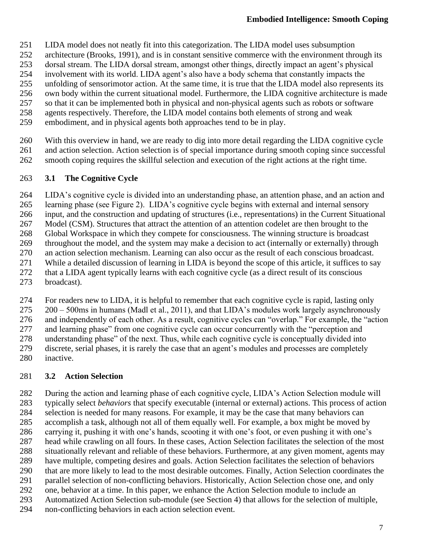- LIDA model does not neatly fit into this categorization. The LIDA model uses subsumption
- architecture (Brooks, 1991), and is in constant sensitive commerce with the environment through its
- dorsal stream. The LIDA dorsal stream, amongst other things, directly impact an agent's physical
- involvement with its world. LIDA agent's also have a body schema that constantly impacts the
- unfolding of sensorimotor action. At the same time, it is true that the LIDA model also represents its
- own body within the current situational model. Furthermore, the LIDA cognitive architecture is made
- so that it can be implemented both in physical and non-physical agents such as robots or software agents respectively. Therefore, the LIDA model contains both elements of strong and weak
- embodiment, and in physical agents both approaches tend to be in play.
- With this overview in hand, we are ready to dig into more detail regarding the LIDA cognitive cycle and action selection. Action selection is of special importance during smooth coping since successful smooth coping requires the skillful selection and execution of the right actions at the right time.

### **3.1 The Cognitive Cycle**

LIDA's cognitive cycle is divided into an understanding phase, an attention phase, and an action and

- learning phase (see Figure 2). LIDA's cognitive cycle begins with external and internal sensory
- input, and the construction and updating of structures (i.e., representations) in the Current Situational
- Model (CSM). Structures that attract the attention of an attention codelet are then brought to the
- Global Workspace in which they compete for consciousness. The winning structure is broadcast
- throughout the model, and the system may make a decision to act (internally or externally) through
- an action selection mechanism. Learning can also occur as the result of each conscious broadcast.
- While a detailed discussion of learning in LIDA is beyond the scope of this article, it suffices to say
- that a LIDA agent typically learns with each cognitive cycle (as a direct result of its conscious
- broadcast).
- For readers new to LIDA, it is helpful to remember that each cognitive cycle is rapid, lasting only
- 200 500ms in humans (Madl et al., 2011), and that LIDA's modules work largely asynchronously
- and independently of each other. As a result, cognitive cycles can "overlap." For example, the "action
- and learning phase" from one cognitive cycle can occur concurrently with the "perception and
- 278 understanding phase" of the next. Thus, while each cognitive cycle is conceptually divided into<br>279 discrete, serial phases, it is rarely the case that an agent's modules and processes are completely
- discrete, serial phases, it is rarely the case that an agent's modules and processes are completely
- inactive.

# **3.2 Action Selection**

- 282 During the action and learning phase of each cognitive cycle, LIDA's Action Selection module will<br>283 typically select *behaviors* that specify executable (internal or external) actions. This process of action typically select *behaviors* that specify executable (internal or external) actions. This process of action selection is needed for many reasons. For example, it may be the case that many behaviors can accomplish a task, although not all of them equally well. For example, a box might be moved by carrying it, pushing it with one's hands, scooting it with one's foot, or even pushing it with one's head while crawling on all fours. In these cases, Action Selection facilitates the selection of the most situationally relevant and reliable of these behaviors. Furthermore, at any given moment, agents may have multiple, competing desires and goals. Action Selection facilitates the selection of behaviors 290 that are more likely to lead to the most desirable outcomes. Finally, Action Selection coordinates the parallel selection of non-conflicting behaviors. Historically, Action Selection chose one, and only parallel selection of non-conflicting behaviors. Historically, Action Selection chose one, and only one, behavior at a time. In this paper, we enhance the Action Selection module to include an Automatized Action Selection sub-module (see Section 4) that allows for the selection of multiple,
- non-conflicting behaviors in each action selection event.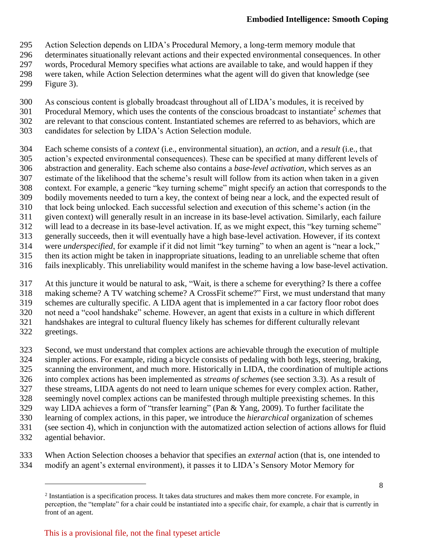Action Selection depends on LIDA's Procedural Memory, a long-term memory module that

- determinates situationally relevant actions and their expected environmental consequences. In other
- words, Procedural Memory specifies what actions are available to take, and would happen if they
- were taken, while Action Selection determines what the agent will do given that knowledge (see
- Figure 3).
- As conscious content is globally broadcast throughout all of LIDA's modules, it is received by
- 301 Procedural Memory, which uses the contents of the conscious broadcast to instantiate<sup>2</sup> schemes that
- are relevant to that conscious content. Instantiated schemes are referred to as behaviors, which are
- candidates for selection by LIDA's Action Selection module.
- Each scheme consists of a *context* (i.e., environmental situation), an *action*, and a *result* (i.e., that
- action's expected environmental consequences). These can be specified at many different levels of
- abstraction and generality. Each scheme also contains a *base-level activation*, which serves as an estimate of the likelihood that the scheme's result will follow from its action when taken in a given
- context. For example, a generic "key turning scheme" might specify an action that corresponds to the
- bodily movements needed to turn a key, the context of being near a lock, and the expected result of
- that lock being unlocked. Each successful selection and execution of this scheme's action (in the
- given context) will generally result in an increase in its base-level activation. Similarly, each failure
- will lead to a decrease in its base-level activation. If, as we might expect, this "key turning scheme"
- generally succeeds, then it will eventually have a high base-level activation. However, if its context
- were *underspecified*, for example if it did not limit "key turning" to when an agent is "near a lock,"
- then its action might be taken in inappropriate situations, leading to an unreliable scheme that often
- fails inexplicably. This unreliability would manifest in the scheme having a low base-level activation.
- At this juncture it would be natural to ask, "Wait, is there a scheme for everything? Is there a coffee making scheme? A TV watching scheme? A CrossFit scheme?" First, we must understand that many schemes are culturally specific. A LIDA agent that is implemented in a car factory floor robot does not need a "cool handshake" scheme. However, an agent that exists in a culture in which different handshakes are integral to cultural fluency likely has schemes for different culturally relevant greetings.
- Second, we must understand that complex actions are achievable through the execution of multiple simpler actions. For example, riding a bicycle consists of pedaling with both legs, steering, braking, scanning the environment, and much more. Historically in LIDA, the coordination of multiple actions into complex actions has been implemented as *streams of schemes* (see section 3.3). As a result of these streams, LIDA agents do not need to learn unique schemes for every complex action. Rather, seemingly novel complex actions can be manifested through multiple preexisting schemes. In this way LIDA achieves a form of "transfer learning" (Pan & Yang, 2009). To further facilitate the learning of complex actions, in this paper, we introduce the *hierarchical* organization of schemes (see section 4), which in conjunction with the automatized action selection of actions allows for fluid
- agential behavior.
- When Action Selection chooses a behavior that specifies an *external* action (that is, one intended to modify an agent's external environment), it passes it to LIDA's Sensory Motor Memory for

<sup>&</sup>lt;sup>2</sup> Instantiation is a specification process. It takes data structures and makes them more concrete. For example, in perception, the "template" for a chair could be instantiated into a specific chair, for example, a chair that is currently in front of an agent.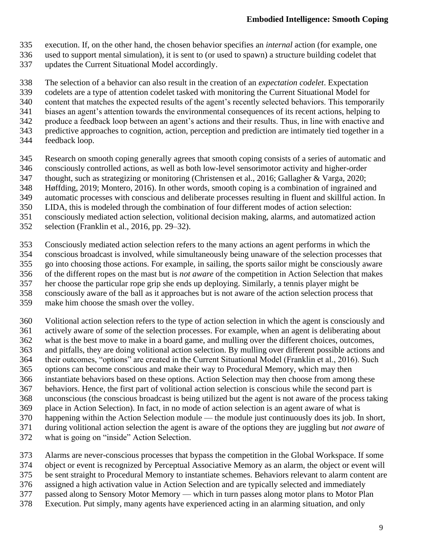- execution. If, on the other hand, the chosen behavior specifies an *internal* action (for example, one
- used to support mental simulation), it is sent to (or used to spawn) a structure building codelet that
- updates the Current Situational Model accordingly.
- The selection of a behavior can also result in the creation of an *expectation codelet*. Expectation
- codelets are a type of attention codelet tasked with monitoring the Current Situational Model for
- content that matches the expected results of the agent's recently selected behaviors. This temporarily
- biases an agent's attention towards the environmental consequences of its recent actions, helping to
- produce a feedback loop between an agent's actions and their results. Thus, in line with enactive and
- 343 predictive approaches to cognition, action, perception and prediction are intimately tied together in a feedback loop.
- feedback loop.
- Research on smooth coping generally agrees that smooth coping consists of a series of automatic and
- consciously controlled actions, as well as both low-level sensorimotor activity and higher-order
- thought, such as strategizing or monitoring (Christensen et al., 2016; Gallagher & Varga, 2020;
- Høffding, 2019; Montero, 2016). In other words, smooth coping is a combination of ingrained and
- automatic processes with conscious and deliberate processes resulting in fluent and skillful action. In
- LIDA, this is modeled through the combination of four different modes of action selection:
- consciously mediated action selection, volitional decision making, alarms, and automatized action
- selection (Franklin et al., 2016, pp. 29–32).
- Consciously mediated action selection refers to the many actions an agent performs in which the conscious broadcast is involved, while simultaneously being unaware of the selection processes that go into choosing those actions. For example, in sailing, the sports sailor might be consciously aware of the different ropes on the mast but is *not aware* of the competition in Action Selection that makes her choose the particular rope grip she ends up deploying. Similarly, a tennis player might be consciously aware of the ball as it approaches but is not aware of the action selection process that
- make him choose the smash over the volley.
- Volitional action selection refers to the type of action selection in which the agent is consciously and actively aware of *some* of the selection processes. For example, when an agent is deliberating about what is the best move to make in a board game, and mulling over the different choices, outcomes, 363 and pitfalls, they are doing volitional action selection. By mulling over different possible actions and their outcomes, "options" are created in the Current Situational Model (Franklin et al., 2016). Such their outcomes, "options" are created in the Current Situational Model (Franklin et al., 2016). Such options can become conscious and make their way to Procedural Memory, which may then instantiate behaviors based on these options. Action Selection may then choose from among these
- behaviors. Hence, the first part of volitional action selection is conscious while the second part is
- unconscious (the conscious broadcast is being utilized but the agent is not aware of the process taking
- place in Action Selection). In fact, in no mode of action selection is an agent aware of what is
- happening within the Action Selection module the module just continuously does its job. In short,
- during volitional action selection the agent is aware of the options they are juggling but *not aware* of
- what is going on "inside" Action Selection.
- 373 Alarms are never-conscious processes that bypass the competition in the Global Workspace. If some<br>374 object or event is recognized by Perceptual Associative Memory as an alarm, the object or event will
- object or event is recognized by Perceptual Associative Memory as an alarm, the object or event will
- be sent straight to Procedural Memory to instantiate schemes. Behaviors relevant to alarm content are
- assigned a high activation value in Action Selection and are typically selected and immediately
- passed along to Sensory Motor Memory which in turn passes along motor plans to Motor Plan
- Execution. Put simply, many agents have experienced acting in an alarming situation, and only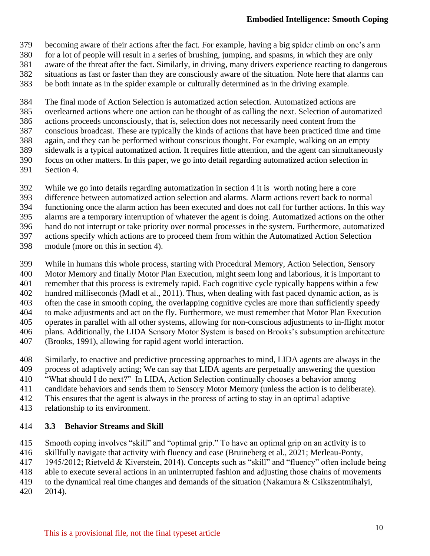- becoming aware of their actions after the fact. For example, having a big spider climb on one's arm
- for a lot of people will result in a series of brushing, jumping, and spasms, in which they are only
- aware of the threat after the fact. Similarly, in driving, many drivers experience reacting to dangerous
- 382 situations as fast or faster than they are consciously aware of the situation. Note here that alarms can<br>383 be both innate as in the spider example or culturally determined as in the driving example.
- be both innate as in the spider example or culturally determined as in the driving example.

The final mode of Action Selection is automatized action selection. Automatized actions are

- overlearned actions where one action can be thought of as calling the next. Selection of automatized
- actions proceeds unconsciously, that is, selection does not necessarily need content from the
- 387 conscious broadcast. These are typically the kinds of actions that have been practiced time and time<br>388 again, and they can be performed without conscious thought. For example, walking on an empty
- again, and they can be performed without conscious thought. For example, walking on an empty
- sidewalk is a typical automatized action. It requires little attention, and the agent can simultaneously
- focus on other matters. In this paper, we go into detail regarding automatized action selection in
- Section 4.
- 392 While we go into details regarding automatization in section 4 it is worth noting here a core<br>393 difference between automatized action selection and alarms. Alarm actions revert back to no
- difference between automatized action selection and alarms. Alarm actions revert back to normal
- functioning once the alarm action has been executed and does not call for further actions. In this way
- alarms are a temporary interruption of whatever the agent is doing. Automatized actions on the other
- hand do not interrupt or take priority over normal processes in the system. Furthermore, automatized
- actions specify which actions are to proceed them from within the Automatized Action Selection
- module (more on this in section 4).
- While in humans this whole process, starting with Procedural Memory, Action Selection, Sensory
- Motor Memory and finally Motor Plan Execution, might seem long and laborious, it is important to
- remember that this process is extremely rapid. Each cognitive cycle typically happens within a few
- hundred milliseconds (Madl et al., 2011). Thus, when dealing with fast paced dynamic action, as is often the case in smooth coping, the overlapping cognitive cycles are more than sufficiently speedy
- to make adjustments and act on the fly. Furthermore, we must remember that Motor Plan Execution
- operates in parallel with all other systems, allowing for non-conscious adjustments to in-flight motor
- plans. Additionally, the LIDA Sensory Motor System is based on Brooks's subsumption architecture
- (Brooks, 1991), allowing for rapid agent world interaction.
- Similarly, to enactive and predictive processing approaches to mind, LIDA agents are always in the
- process of adaptively acting; We can say that LIDA agents are perpetually answering the question
- "What should I do next?" In LIDA, Action Selection continually chooses a behavior among
- candidate behaviors and sends them to Sensory Motor Memory (unless the action is to deliberate).
- This ensures that the agent is always in the process of acting to stay in an optimal adaptive
- relationship to its environment.

## **3.3 Behavior Streams and Skill**

- Smooth coping involves "skill" and "optimal grip." To have an optimal grip on an activity is to
- skillfully navigate that activity with fluency and ease (Bruineberg et al., 2021; Merleau-Ponty,
- 1945/2012; Rietveld & Kiverstein, 2014). Concepts such as "skill" and "fluency" often include being
- able to execute several actions in an uninterrupted fashion and adjusting those chains of movements
- to the dynamical real time changes and demands of the situation (Nakamura & Csikszentmihalyi,
- 2014).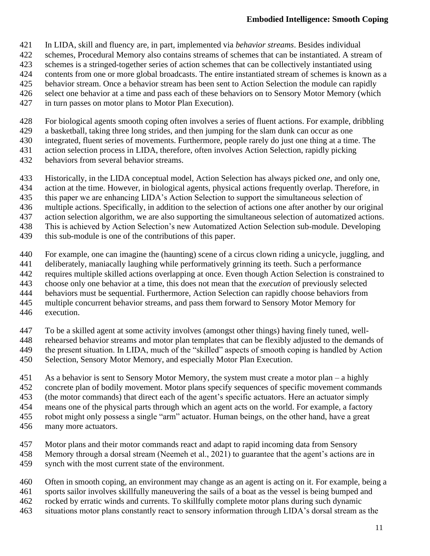- In LIDA, skill and fluency are, in part, implemented via *behavior streams*. Besides individual
- schemes, Procedural Memory also contains streams of schemes that can be instantiated. A stream of
- schemes is a stringed-together series of action schemes that can be collectively instantiated using
- contents from one or more global broadcasts. The entire instantiated stream of schemes is known as a
- behavior stream. Once a behavior stream has been sent to Action Selection the module can rapidly
- select one behavior at a time and pass each of these behaviors on to Sensory Motor Memory (which
- in turn passes on motor plans to Motor Plan Execution).
- For biological agents smooth coping often involves a series of fluent actions. For example, dribbling
- a basketball, taking three long strides, and then jumping for the slam dunk can occur as one
- integrated, fluent series of movements. Furthermore, people rarely do just one thing at a time. The
- action selection process in LIDA, therefore, often involves Action Selection, rapidly picking
- behaviors from several behavior streams.
- Historically, in the LIDA conceptual model, Action Selection has always picked *one*, and only one,
- action at the time. However, in biological agents, physical actions frequently overlap. Therefore, in
- this paper we are enhancing LIDA's Action Selection to support the simultaneous selection of
- multiple actions. Specifically, in addition to the selection of actions one after another by our original
- action selection algorithm, we are also supporting the simultaneous selection of automatized actions.
- This is achieved by Action Selection's new Automatized Action Selection sub-module. Developing
- this sub-module is one of the contributions of this paper.
- For example, one can imagine the (haunting) scene of a circus clown riding a unicycle, juggling, and
- deliberately, maniacally laughing while performatively grinning its teeth. Such a performance
- requires multiple skilled actions overlapping at once. Even though Action Selection is constrained to
- choose only one behavior at a time, this does not mean that the *execution* of previously selected
- behaviors must be sequential. Furthermore, Action Selection can rapidly choose behaviors from
- multiple concurrent behavior streams, and pass them forward to Sensory Motor Memory for
- execution.
- To be a skilled agent at some activity involves (amongst other things) having finely tuned, well-
- rehearsed behavior streams and motor plan templates that can be flexibly adjusted to the demands of
- 449 the present situation. In LIDA, much of the "skilled" aspects of smooth coping is handled by Action<br>450 Selection, Sensory Motor Memory, and especially Motor Plan Execution. Selection, Sensory Motor Memory, and especially Motor Plan Execution.
- As a behavior is sent to Sensory Motor Memory, the system must create a motor plan a highly concrete plan of bodily movement. Motor plans specify sequences of specific movement commands
- (the motor commands) that direct each of the agent's specific actuators. Here an actuator simply
- means one of the physical parts through which an agent acts on the world. For example, a factory
- robot might only possess a single "arm" actuator. Human beings, on the other hand, have a great
- many more actuators.
- Motor plans and their motor commands react and adapt to rapid incoming data from Sensory
- Memory through a dorsal stream (Neemeh et al., 2021) to guarantee that the agent's actions are in synch with the most current state of the environment.
- Often in smooth coping, an environment may change as an agent is acting on it. For example, being a
- sports sailor involves skillfully maneuvering the sails of a boat as the vessel is being bumped and
- rocked by erratic winds and currents. To skillfully complete motor plans during such dynamic
- situations motor plans constantly react to sensory information through LIDA's dorsal stream as the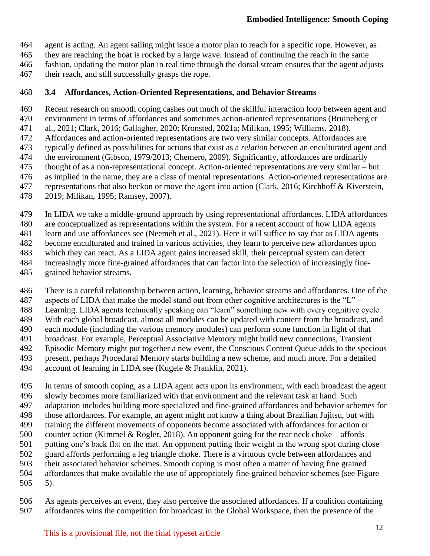agent is acting. An agent sailing might issue a motor plan to reach for a specific rope. However, as

they are reaching the boat is rocked by a large wave. Instead of continuing the reach in the same

- fashion, updating the motor plan in real time through the dorsal stream ensures that the agent adjusts
- their reach, and still successfully grasps the rope.

### **3.4 Affordances, Action-Oriented Representations, and Behavior Streams**

Recent research on smooth coping cashes out much of the skillful interaction loop between agent and

- environment in terms of affordances and sometimes action-oriented representations (Bruineberg et
- al., 2021; Clark, 2016; Gallagher, 2020; Kronsted, 2021a; Milikan, 1995; Williams, 2018). Affordances and action-oriented representations are two very similar concepts. Affordances are
- typically defined as possibilities for actions that exist as a *relation* between an enculturated agent and
- the environment (Gibson, 1979/2013; Chemero, 2009). Significantly, affordances are ordinarily
- thought of as a non-representational concept. Action-oriented representations are very similar but
- as implied in the name, they are a class of mental representations. Action-oriented representations are
- representations that also beckon or move the agent into action (Clark, 2016; Kirchhoff & Kiverstein,
- 2019; Milikan, 1995; Ramsey, 2007).
- In LIDA we take a middle-ground approach by using representational affordances. LIDA affordances
- are conceptualized as representations within the system. For a recent account of how LIDA agents

learn and use affordances see (Neemeh et al., 2021). Here it will suffice to say that as LIDA agents

become enculturated and trained in various activities, they learn to perceive new affordances upon

- which they can react. As a LIDA agent gains increased skill, their perceptual system can detect
- increasingly more fine-grained affordances that can factor into the selection of increasingly fine-
- grained behavior streams.
- There is a careful relationship between action, learning, behavior streams and affordances. One of the
- 487 aspects of LIDA that make the model stand out from other cognitive architectures is the " $L$ " –
- Learning. LIDA agents technically speaking can "learn" something new with every cognitive cycle.
- With each global broadcast, almost all modules can be updated with content from the broadcast, and
- each module (including the various memory modules) can perform some function in light of that
- 491 broadcast. For example, Perceptual Associative Memory might build new connections, Transient 492 Episodic Memory might put together a new event, the Conscious Content Queue adds to the speci-Episodic Memory might put together a new event, the Conscious Content Queue adds to the specious
- present, perhaps Procedural Memory starts building a new scheme, and much more. For a detailed
- account of learning in LIDA see (Kugele & Franklin, 2021).
- In terms of smooth coping, as a LIDA agent acts upon its environment, with each broadcast the agent slowly becomes more familiarized with that environment and the relevant task at hand. Such adaptation includes building more specialized and fine-grained affordances and behavior schemes for those affordances. For example, an agent might not know a thing about Brazilian Jujitsu, but with training the different movements of opponents become associated with affordances for action or counter action (Kimmel & Rogler, 2018). An opponent going for the rear neck choke – affords putting one's back flat on the mat. An opponent putting their weight in the wrong spot during close guard affords performing a leg triangle choke. There is a virtuous cycle between affordances and their associated behavior schemes. Smooth coping is most often a matter of having fine grained affordances that make available the use of appropriately fine-grained behavior schemes (see Figure 5).
- As agents perceives an event, they also perceive the associated affordances. If a coalition containing affordances wins the competition for broadcast in the Global Workspace, then the presence of the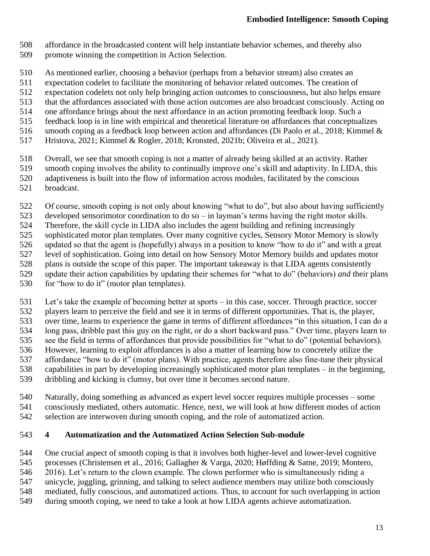- affordance in the broadcasted content will help instantiate behavior schemes, and thereby also
- promote winning the competition in Action Selection.
- As mentioned earlier, choosing a behavior (perhaps from a behavior stream) also creates an
- expectation codelet to facilitate the monitoring of behavior related outcomes. The creation of
- expectation codelets not only help bringing action outcomes to consciousness, but also helps ensure
- that the affordances associated with those action outcomes are also broadcast consciously. Acting on
- one affordance brings about the next affordance in an action promoting feedback loop. Such a
- feedback loop is in line with empirical and theoretical literature on affordances that conceptualizes
- 516 smooth coping as a feedback loop between action and affordances (Di Paolo et al., 2018; Kimmel & 517 Hristova, 2021: Kimmel & Rogler, 2018; Kronsted, 2021b; Oliveira et al., 2021).
- Hristova, 2021; Kimmel & Rogler, 2018; Kronsted, 2021b; Oliveira et al., 2021).
- Overall, we see that smooth coping is not a matter of already being skilled at an activity. Rather
- smooth coping involves the ability to continually improve one's skill and adaptivity. In LIDA, this
- adaptiveness is built into the flow of information across modules, facilitated by the conscious
- broadcast.
- Of course, smooth coping is not only about knowing "what to do", but also about having sufficiently
- developed sensorimotor coordination to do so in layman's terms having the right motor skills.
- Therefore, the skill cycle in LIDA also includes the agent building and refining increasingly
- sophisticated motor plan templates. Over many cognitive cycles, Sensory Motor Memory is slowly
- updated so that the agent is (hopefully) always in a position to know "how to do it" and with a great
- level of sophistication. Going into detail on how Sensory Motor Memory builds and updates motor
- plans is outside the scope of this paper. The important takeaway is that LIDA agents consistently
- update their action capabilities by updating their schemes for "what to do" (behaviors) *and* their plans
- for "how to do it" (motor plan templates).
- Let's take the example of becoming better at sports in this case, soccer. Through practice, soccer
- players learn to perceive the field and see it in terms of different opportunities. That is, the player,
- over time, learns to experience the game in terms of different affordances "in this situation, I can do a
- long pass, dribble past this guy on the right, or do a short backward pass." Over time, players learn to
- see the field in terms of affordances that provide possibilities for "what to do" (potential behaviors).
- 536 However, learning to exploit affordances is also a matter of learning how to concretely utilize the affordance "how to do it" (motor plans). With practice, agents therefore also fine-tune their physic affordance "how to do it" (motor plans). With practice, agents therefore also fine-tune their physical
- capabilities in part by developing increasingly sophisticated motor plan templates in the beginning,
- dribbling and kicking is clumsy, but over time it becomes second nature.
- 
- Naturally, doing something as advanced as expert level soccer requires multiple processes some consciously mediated, others automatic. Hence, next, we will look at how different modes of action selection are interwoven during smooth coping, and the role of automatized action.
- **4 Automatization and the Automatized Action Selection Sub-module**
- One crucial aspect of smooth coping is that it involves both higher-level and lower-level cognitive
- processes (Christensen et al., 2016; Gallagher & Varga, 2020; Høffding & Satne, 2019; Montero,
- 2016). Let's return to the clown example. The clown performer who is simultaneously riding a
- unicycle, juggling, grinning, and talking to select audience members may utilize both consciously
- mediated, fully conscious, and automatized actions. Thus, to account for such overlapping in action
- during smooth coping, we need to take a look at how LIDA agents achieve automatization.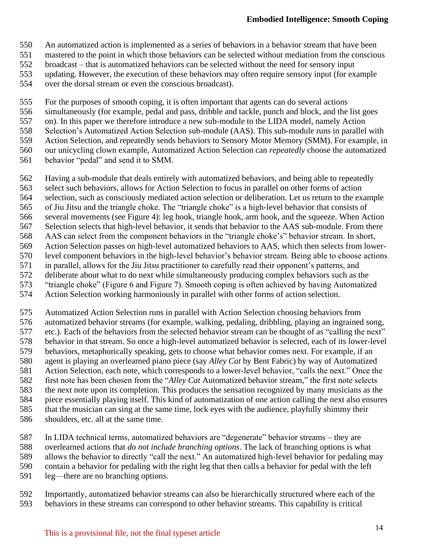- An automatized action is implemented as a series of behaviors in a behavior stream that have been
- mastered to the point in which those behaviors can be selected without mediation from the conscious
- broadcast that is automatized behaviors can be selected without the need for sensory input
- 553 updating. However, the execution of these behaviors may often require sensory input (for example over the dorsal stream or even the conscious broadcast).
- over the dorsal stream or even the conscious broadcast).

For the purposes of smooth coping, it is often important that agents can do several actions

- simultaneously (for example, pedal and pass, dribble and tackle, punch and block, and the list goes
- on). In this paper we therefore introduce a new sub-module to the LIDA model, namely Action
- 558 Selection's Automatized Action Selection sub-module (AAS). This sub-module runs in parallel with<br>559 Action Selection, and repeatedly sends behaviors to Sensory Motor Memory (SMM). For example, in
- Action Selection, and repeatedly sends behaviors to Sensory Motor Memory (SMM). For example, in our unicycling clown example, Automatized Action Selection can *repeatedly* choose the automatized
- behavior "pedal" and send it to SMM.

Having a sub-module that deals entirely with automatized behaviors, and being able to repeatedly

select such behaviors, allows for Action Selection to focus in parallel on other forms of action

- selection, such as consciously mediated action selection or deliberation. Let us return to the example
- of Jiu Jitsu and the triangle choke. The "triangle choke" is a high-level behavior that consists of
- several movements (see Figure 4): leg hook, triangle hook, arm hook, and the squeeze. When Action
- Selection selects that high-level behavior, it sends that behavior to the AAS sub-module. From there
- AAS can select from the component behaviors in the "triangle choke's" behavior stream. In short, Action Selection passes on high-level automatized behaviors to AAS, which then selects from lower-
- level component behaviors in the high-level behavior's behavior stream. Being able to choose actions
- in parallel, allows for the Jiu Jitsu practitioner to carefully read their opponent's patterns, and
- deliberate about what to do next while simultaneously producing complex behaviors such as the
- 573 "triangle choke" (Figure 6 and Figure 7). Smooth coping is often achieved by having Automatized<br>574 Action Selection working harmoniously in parallel with other forms of action selection.
- Action Selection working harmoniously in parallel with other forms of action selection.

Automatized Action Selection runs in parallel with Action Selection choosing behaviors from

- automatized behavior streams (for example, walking, pedaling, dribbling, playing an ingrained song,
- etc.). Each of the behaviors from the selected behavior stream can be thought of as "calling the next" behavior in that stream. So once a high-level automatized behavior is selected, each of its lower-level
- behaviors, metaphorically speaking, gets to choose what behavior comes next. For example, if an
- agent is playing an overlearned piano piece (say *Alley Cat* by Bent Fabric) by way of Automatized
- Action Selection, each note, which corresponds to a lower-level behavior, "calls the next." Once the
- first note has been chosen from the "*Alley Cat* Automatized behavior stream," the first note selects
- the next note upon its completion. This produces the sensation recognized by many musicians as the
- piece essentially playing itself. This kind of automatization of one action calling the next also ensures
- that the musician can sing at the same time, lock eyes with the audience, playfully shimmy their shoulders, etc. all at the same time.
- 
- In LIDA technical terms, automatized behaviors are "degenerate" behavior streams they are
- 588 overlearned actions that *do not include branching options*. The lack of branching options is what allows the behavior to directly "call the next." An automatized high-level behavior for pedaling m allows the behavior to directly "call the next." An automatized high-level behavior for pedaling may
- contain a behavior for pedaling with the right leg that then calls a behavior for pedal with the left
- leg—there are no branching options.
- Importantly, automatized behavior streams can also be hierarchically structured where each of the behaviors in these streams can correspond to other behavior streams. This capability is critical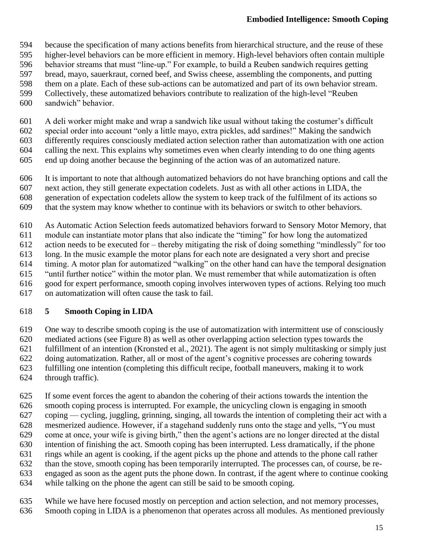- because the specification of many actions benefits from hierarchical structure, and the reuse of these
- higher-level behaviors can be more efficient in memory. High-level behaviors often contain multiple
- behavior streams that must "line-up." For example, to build a Reuben sandwich requires getting
- bread, mayo, sauerkraut, corned beef, and Swiss cheese, assembling the components, and putting
- them on a plate. Each of these sub-actions can be automatized and part of its own behavior stream.
- Collectively, these automatized behaviors contribute to realization of the high-level "Reuben
- sandwich" behavior.
- A deli worker might make and wrap a sandwich like usual without taking the costumer's difficult
- special order into account "only a little mayo, extra pickles, add sardines!" Making the sandwich
- differently requires consciously mediated action selection rather than automatization with one action
- calling the next. This explains why sometimes even when clearly intending to do one thing agents
- end up doing another because the beginning of the action was of an automatized nature.
- It is important to note that although automatized behaviors do not have branching options and call the
- next action, they still generate expectation codelets. Just as with all other actions in LIDA, the
- generation of expectation codelets allow the system to keep track of the fulfilment of its actions so
- that the system may know whether to continue with its behaviors or switch to other behaviors.
- As Automatic Action Selection feeds automatized behaviors forward to Sensory Motor Memory, that
- module can instantiate motor plans that also indicate the "timing" for how long the automatized
- action needs to be executed for thereby mitigating the risk of doing something "mindlessly" for too
- long. In the music example the motor plans for each note are designated a very short and precise
- timing. A motor plan for automatized "walking" on the other hand can have the temporal designation
- "until further notice" within the motor plan. We must remember that while automatization is often
- good for expert performance, smooth coping involves interwoven types of actions. Relying too much on automatization will often cause the task to fail.

# **5 Smooth Coping in LIDA**

- One way to describe smooth coping is the use of automatization with intermittent use of consciously mediated actions (see Figure 8) as well as other overlapping action selection types towards the fulfillment of an intention (Kronsted et al., 2021). The agent is not simply multitasking or simply just doing automatization. Rather, all or most of the agent's cognitive processes are cohering towards fulfilling one intention (completing this difficult recipe, football maneuvers, making it to work
- through traffic).
- If some event forces the agent to abandon the cohering of their actions towards the intention the smooth coping process is interrupted. For example, the unicycling clown is engaging in smooth coping — cycling, juggling, grinning, singing, all towards the intention of completing their act with a mesmerized audience. However, if a stagehand suddenly runs onto the stage and yells, "You must come at once, your wife is giving birth," then the agent's actions are no longer directed at the distal intention of finishing the act. Smooth coping has been interrupted. Less dramatically, if the phone rings while an agent is cooking, if the agent picks up the phone and attends to the phone call rather than the stove, smooth coping has been temporarily interrupted. The processes can, of course, be re- engaged as soon as the agent puts the phone down. In contrast, if the agent where to continue cooking while talking on the phone the agent can still be said to be smooth coping.
- While we have here focused mostly on perception and action selection, and not memory processes,
- Smooth coping in LIDA is a phenomenon that operates across all modules. As mentioned previously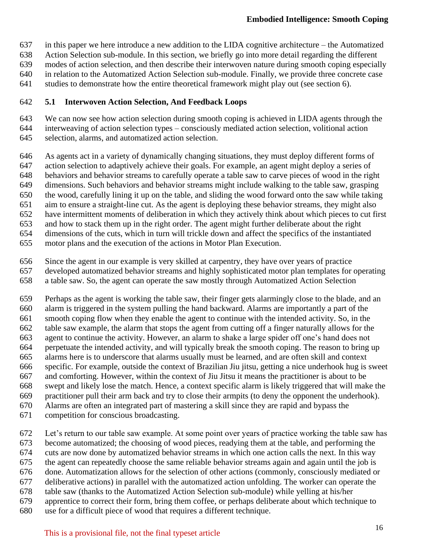- in this paper we here introduce a new addition to the LIDA cognitive architecture the Automatized
- Action Selection sub-module. In this section, we briefly go into more detail regarding the different
- modes of action selection, and then describe their interwoven nature during smooth coping especially
- in relation to the Automatized Action Selection sub-module. Finally, we provide three concrete case
- studies to demonstrate how the entire theoretical framework might play out (see section 6).

#### **5.1 Interwoven Action Selection, And Feedback Loops**

 We can now see how action selection during smooth coping is achieved in LIDA agents through the interweaving of action selection types – consciously mediated action selection, volitional action

- selection, alarms, and automatized action selection.
- As agents act in a variety of dynamically changing situations, they must deploy different forms of
- action selection to adaptively achieve their goals. For example, an agent might deploy a series of
- behaviors and behavior streams to carefully operate a table saw to carve pieces of wood in the right
- dimensions. Such behaviors and behavior streams might include walking to the table saw, grasping
- the wood, carefully lining it up on the table, and sliding the wood forward onto the saw while taking
- aim to ensure a straight-line cut. As the agent is deploying these behavior streams, they might also
- have intermittent moments of deliberation in which they actively think about which pieces to cut first
- and how to stack them up in the right order. The agent might further deliberate about the right
- dimensions of the cuts, which in turn will trickle down and affect the specifics of the instantiated
- motor plans and the execution of the actions in Motor Plan Execution.
- Since the agent in our example is very skilled at carpentry, they have over years of practice
- developed automatized behavior streams and highly sophisticated motor plan templates for operating
- a table saw. So, the agent can operate the saw mostly through Automatized Action Selection

 Perhaps as the agent is working the table saw, their finger gets alarmingly close to the blade, and an alarm is triggered in the system pulling the hand backward. Alarms are importantly a part of the smooth coping flow when they enable the agent to continue with the intended activity. So, in the table saw example, the alarm that stops the agent from cutting off a finger naturally allows for the agent to continue the activity. However, an alarm to shake a large spider off one's hand does not perpetuate the intended activity, and will typically break the smooth coping. The reason to bring up alarms here is to underscore that alarms usually must be learned, and are often skill and context specific. For example, outside the context of Brazilian Jiu jitsu, getting a nice underhook hug is sweet and comforting. However, within the context of Jiu Jitsu it means the practitioner is about to be swept and likely lose the match. Hence, a context specific alarm is likely triggered that will make the practitioner pull their arm back and try to close their armpits (to deny the opponent the underhook). Alarms are often an integrated part of mastering a skill since they are rapid and bypass the

- competition for conscious broadcasting.
- Let's return to our table saw example. At some point over years of practice working the table saw has become automatized; the choosing of wood pieces, readying them at the table, and performing the cuts are now done by automatized behavior streams in which one action calls the next. In this way the agent can repeatedly choose the same reliable behavior streams again and again until the job is done. Automatization allows for the selection of other actions (commonly, consciously mediated or deliberative actions) in parallel with the automatized action unfolding. The worker can operate the table saw (thanks to the Automatized Action Selection sub-module) while yelling at his/her apprentice to correct their form, bring them coffee, or perhaps deliberate about which technique to use for a difficult piece of wood that requires a different technique.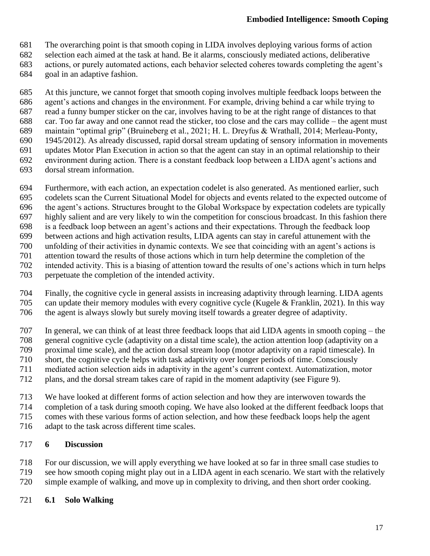- The overarching point is that smooth coping in LIDA involves deploying various forms of action
- selection each aimed at the task at hand. Be it alarms, consciously mediated actions, deliberative
- actions, or purely automated actions, each behavior selected coheres towards completing the agent's
- goal in an adaptive fashion.

At this juncture, we cannot forget that smooth coping involves multiple feedback loops between the

- agent's actions and changes in the environment. For example, driving behind a car while trying to
- read a funny bumper sticker on the car, involves having to be at the right range of distances to that
- car. Too far away and one cannot read the sticker, too close and the cars may collide the agent must
- maintain "optimal grip" (Bruineberg et al., 2021; H. L. Dreyfus & Wrathall, 2014; Merleau-Ponty, 1945/2012). As already discussed, rapid dorsal stream updating of sensory information in movements
- updates Motor Plan Execution in action so that the agent can stay in an optimal relationship to their
- environment during action. There is a constant feedback loop between a LIDA agent's actions and
- dorsal stream information.
- Furthermore, with each action, an expectation codelet is also generated. As mentioned earlier, such
- codelets scan the Current Situational Model for objects and events related to the expected outcome of
- the agent's actions. Structures brought to the Global Workspace by expectation codelets are typically
- highly salient and are very likely to win the competition for conscious broadcast. In this fashion there
- is a feedback loop between an agent's actions and their expectations. Through the feedback loop
- between actions and high activation results, LIDA agents can stay in careful attunement with the unfolding of their activities in dynamic contexts. We see that coinciding with an agent's actions is
- attention toward the results of those actions which in turn help determine the completion of the
- intended activity. This is a biasing of attention toward the results of one's actions which in turn helps
- perpetuate the completion of the intended activity.
- 704 Finally, the cognitive cycle in general assists in increasing adaptivity through learning. LIDA agents<br>705 can update their memory modules with every cognitive cycle (Kugele & Franklin, 2021). In this way can update their memory modules with every cognitive cycle (Kugele & Franklin, 2021). In this way the agent is always slowly but surely moving itself towards a greater degree of adaptivity.
- In general, we can think of at least three feedback loops that aid LIDA agents in smooth coping the general cognitive cycle (adaptivity on a distal time scale), the action attention loop (adaptivity on a 709 proximal time scale), and the action dorsal stream loop (motor adaptivity on a rapid timescale). In short, the cognitive cycle helps with task adaptivity over longer periods of time. Consciously
- short, the cognitive cycle helps with task adaptivity over longer periods of time. Consciously
- mediated action selection aids in adaptivity in the agent's current context. Automatization, motor
- plans, and the dorsal stream takes care of rapid in the moment adaptivity (see Figure 9).
- We have looked at different forms of action selection and how they are interwoven towards the
- completion of a task during smooth coping. We have also looked at the different feedback loops that
- comes with these various forms of action selection, and how these feedback loops help the agent
- adapt to the task across different time scales.

## **6 Discussion**

- For our discussion, we will apply everything we have looked at so far in three small case studies to 719 see how smooth coping might play out in a LIDA agent in each scenario. We start with the relatively<br>720 simple example of walking, and move up in complexity to driving, and then short order cooking.
- simple example of walking, and move up in complexity to driving, and then short order cooking.

## **6.1 Solo Walking**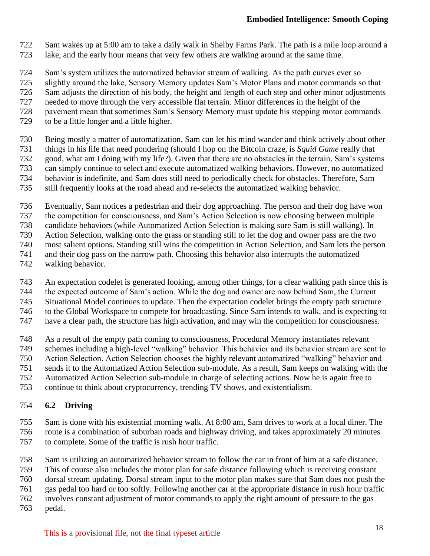- Sam wakes up at 5:00 am to take a daily walk in Shelby Farms Park. The path is a mile loop around a
- lake, and the early hour means that very few others are walking around at the same time.
- Sam's system utilizes the automatized behavior stream of walking. As the path curves ever so
- slightly around the lake, Sensory Memory updates Sam's Motor Plans and motor commands so that
- Sam adjusts the direction of his body, the height and length of each step and other minor adjustments
- needed to move through the very accessible flat terrain. Minor differences in the height of the
- pavement mean that sometimes Sam's Sensory Memory must update his stepping motor commands
- to be a little longer and a little higher.
- 
- 730 Being mostly a matter of automatization, Sam can let his mind wander and think actively about other<br>731 things in his life that need pondering (should I hop on the Bitcoin craze, is *Squid Game* really that things in his life that need pondering (should I hop on the Bitcoin craze, is *Squid Game* really that
- good, what am I doing with my life?). Given that there are no obstacles in the terrain, Sam's systems
- can simply continue to select and execute automatized walking behaviors. However, no automatized
- behavior is indefinite, and Sam does still need to periodically check for obstacles. Therefore, Sam
- still frequently looks at the road ahead and re-selects the automatized walking behavior.
- Eventually, Sam notices a pedestrian and their dog approaching. The person and their dog have won
- the competition for consciousness, and Sam's Action Selection is now choosing between multiple
- candidate behaviors (while Automatized Action Selection is making sure Sam is still walking). In
- Action Selection, walking onto the grass or standing still to let the dog and owner pass are the two
- most salient options. Standing still wins the competition in Action Selection, and Sam lets the person
- and their dog pass on the narrow path. Choosing this behavior also interrupts the automatized
- walking behavior.
- An expectation codelet is generated looking, among other things, for a clear walking path since this is
- the expected outcome of Sam's action. While the dog and owner are now behind Sam, the Current
- Situational Model continues to update. Then the expectation codelet brings the empty path structure to the Global Workspace to compete for broadcasting. Since Sam intends to walk, and is expecting to
- have a clear path, the structure has high activation, and may win the competition for consciousness.
- 
- As a result of the empty path coming to consciousness, Procedural Memory instantiates relevant
- schemes including a high-level "walking" behavior. This behavior and its behavior stream are sent to
- Action Selection. Action Selection chooses the highly relevant automatized "walking" behavior and
- sends it to the Automatized Action Selection sub-module. As a result, Sam keeps on walking with the
- Automatized Action Selection sub-module in charge of selecting actions. Now he is again free to
- continue to think about cryptocurrency, trending TV shows, and existentialism.

## **6.2 Driving**

- Sam is done with his existential morning walk. At 8:00 am, Sam drives to work at a local diner. The route is a combination of suburban roads and highway driving, and takes approximately 20 minutes to complete. Some of the traffic is rush hour traffic.
- Sam is utilizing an automatized behavior stream to follow the car in front of him at a safe distance.
- This of course also includes the motor plan for safe distance following which is receiving constant
- dorsal stream updating. Dorsal stream input to the motor plan makes sure that Sam does not push the
- gas pedal too hard or too softly. Following another car at the appropriate distance in rush hour traffic
- involves constant adjustment of motor commands to apply the right amount of pressure to the gas
- pedal.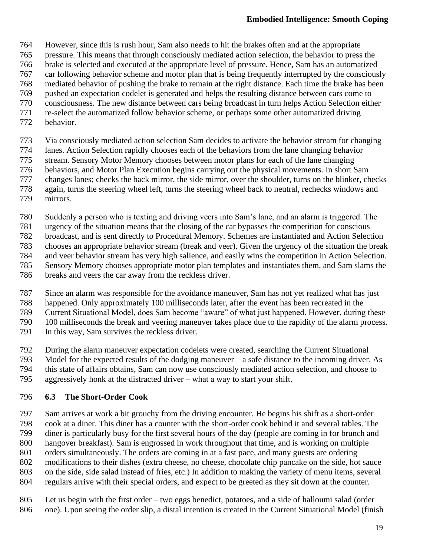- However, since this is rush hour, Sam also needs to hit the brakes often and at the appropriate
- pressure. This means that through consciously mediated action selection, the behavior to press the
- brake is selected and executed at the appropriate level of pressure. Hence, Sam has an automatized
- car following behavior scheme and motor plan that is being frequently interrupted by the consciously
- mediated behavior of pushing the brake to remain at the right distance. Each time the brake has been pushed an expectation codelet is generated and helps the resulting distance between cars come to
- consciousness. The new distance between cars being broadcast in turn helps Action Selection either
- re-select the automatized follow behavior scheme, or perhaps some other automatized driving
- behavior.
- Via consciously mediated action selection Sam decides to activate the behavior stream for changing
- lanes. Action Selection rapidly chooses each of the behaviors from the lane changing behavior
- stream. Sensory Motor Memory chooses between motor plans for each of the lane changing
- behaviors, and Motor Plan Execution begins carrying out the physical movements. In short Sam
- changes lanes; checks the back mirror, the side mirror, over the shoulder, turns on the blinker, checks
- again, turns the steering wheel left, turns the steering wheel back to neutral, rechecks windows and
- mirrors.
- Suddenly a person who is texting and driving veers into Sam's lane, and an alarm is triggered. The
- urgency of the situation means that the closing of the car bypasses the competition for conscious
- broadcast, and is sent directly to Procedural Memory. Schemes are instantiated and Action Selection
- chooses an appropriate behavior stream (break and veer). Given the urgency of the situation the break and veer behavior stream has very high salience, and easily wins the competition in Action Selection.
- Sensory Memory chooses appropriate motor plan templates and instantiates them, and Sam slams the
- breaks and veers the car away from the reckless driver.
- Since an alarm was responsible for the avoidance maneuver, Sam has not yet realized what has just
- happened. Only approximately 100 milliseconds later, after the event has been recreated in the
- Current Situational Model, does Sam become "aware" of what just happened. However, during these
- 100 milliseconds the break and veering maneuver takes place due to the rapidity of the alarm process.
- In this way, Sam survives the reckless driver.
- 
- 792 During the alarm maneuver expectation codelets were created, searching the Current Situational<br>793 Model for the expected results of the dodging maneuver a safe distance to the incoming driver. Model for the expected results of the dodging maneuver – a safe distance to the incoming driver. As
- 794 this state of affairs obtains, Sam can now use consciously mediated action selection, and choose to aggressively honk at the distracted driver what a way to start your shift.
- aggressively honk at the distracted driver what a way to start your shift.

### **6.3 The Short-Order Cook**

- Sam arrives at work a bit grouchy from the driving encounter. He begins his shift as a short-order cook at a diner. This diner has a counter with the short-order cook behind it and several tables. The diner is particularly busy for the first several hours of the day (people are coming in for brunch and hangover breakfast). Sam is engrossed in work throughout that time, and is working on multiple
- orders simultaneously. The orders are coming in at a fast pace, and many guests are ordering
- modifications to their dishes (extra cheese, no cheese, chocolate chip pancake on the side, hot sauce
- on the side, side salad instead of fries, etc.) In addition to making the variety of menu items, several
- regulars arrive with their special orders, and expect to be greeted as they sit down at the counter.
- Let us begin with the first order two eggs benedict, potatoes, and a side of halloumi salad (order one). Upon seeing the order slip, a distal intention is created in the Current Situational Model (finish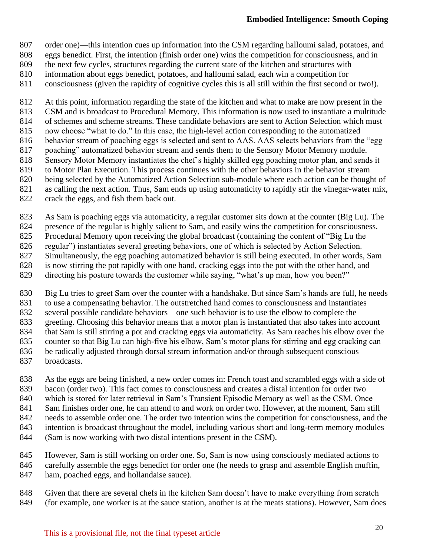- order one)—this intention cues up information into the CSM regarding halloumi salad, potatoes, and
- eggs benedict. First, the intention (finish order one) wins the competition for consciousness, and in
- the next few cycles, structures regarding the current state of the kitchen and structures with
- information about eggs benedict, potatoes, and halloumi salad, each win a competition for
- consciousness (given the rapidity of cognitive cycles this is all still within the first second or two!).

At this point, information regarding the state of the kitchen and what to make are now present in the

- CSM and is broadcast to Procedural Memory. This information is now used to instantiate a multitude
- of schemes and scheme streams. These candidate behaviors are sent to Action Selection which must
- now choose "what to do." In this case, the high-level action corresponding to the automatized behavior stream of poaching eggs is selected and sent to AAS. AAS selects behaviors from the "egg
- 817 poaching" automatized behavior stream and sends them to the Sensory Motor Memory module.
- Sensory Motor Memory instantiates the chef's highly skilled egg poaching motor plan, and sends it
- to Motor Plan Execution. This process continues with the other behaviors in the behavior stream
- being selected by the Automatized Action Selection sub-module where each action can be thought of
- as calling the next action. Thus, Sam ends up using automaticity to rapidly stir the vinegar-water mix,
- crack the eggs, and fish them back out.
- As Sam is poaching eggs via automaticity, a regular customer sits down at the counter (Big Lu). The
- presence of the regular is highly salient to Sam, and easily wins the competition for consciousness.
- Procedural Memory upon receiving the global broadcast (containing the content of "Big Lu the
- regular") instantiates several greeting behaviors, one of which is selected by Action Selection.
- Simultaneously, the egg poaching automatized behavior is still being executed. In other words, Sam
- is now stirring the pot rapidly with one hand, cracking eggs into the pot with the other hand, and
- directing his posture towards the customer while saying, "what's up man, how you been?"
- Big Lu tries to greet Sam over the counter with a handshake. But since Sam's hands are full, he needs
- to use a compensating behavior. The outstretched hand comes to consciousness and instantiates
- several possible candidate behaviors one such behavior is to use the elbow to complete the
- greeting. Choosing this behavior means that a motor plan is instantiated that also takes into account
- that Sam is still stirring a pot and cracking eggs via automaticity. As Sam reaches his elbow over the
- counter so that Big Lu can high-five his elbow, Sam's motor plans for stirring and egg cracking can
- be radically adjusted through dorsal stream information and/or through subsequent conscious
- broadcasts.
- As the eggs are being finished, a new order comes in: French toast and scrambled eggs with a side of
- bacon (order two). This fact comes to consciousness and creates a distal intention for order two
- 840 which is stored for later retrieval in Sam's Transient Episodic Memory as well as the CSM. Once
- Sam finishes order one, he can attend to and work on order two. However, at the moment, Sam still
- needs to assemble order one. The order two intention wins the competition for consciousness, and the
- intention is broadcast throughout the model, including various short and long-term memory modules
- (Sam is now working with two distal intentions present in the CSM).
- However, Sam is still working on order one. So, Sam is now using consciously mediated actions to
- carefully assemble the eggs benedict for order one (he needs to grasp and assemble English muffin, ham, poached eggs, and hollandaise sauce).
- Given that there are several chefs in the kitchen Sam doesn't have to make everything from scratch
- (for example, one worker is at the sauce station, another is at the meats stations). However, Sam does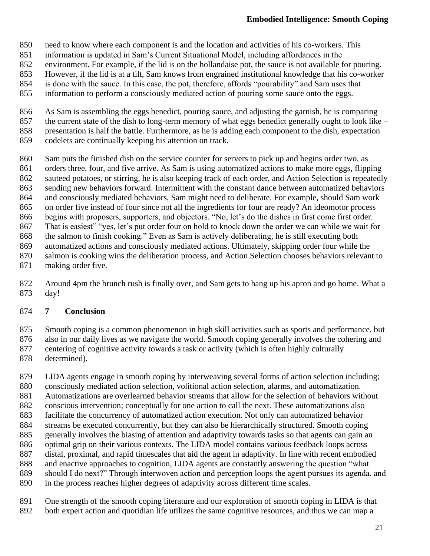- need to know where each component is and the location and activities of his co-workers. This
- information is updated in Sam's Current Situational Model, including affordances in the
- environment. For example, if the lid is on the hollandaise pot, the sauce is not available for pouring.
- However, if the lid is at a tilt, Sam knows from engrained institutional knowledge that his co-worker
- is done with the sauce. In this case, the pot, therefore, affords "pourability" and Sam uses that
- information to perform a consciously mediated action of pouring some sauce onto the eggs.
- As Sam is assembling the eggs benedict, pouring sauce, and adjusting the garnish, he is comparing
- 857 the current state of the dish to long-term memory of what eggs benedict generally ought to look like –
- 858 presentation is half the battle. Furthermore, as he is adding each component to the dish, expectation codelets are continually keeping his attention on track.
- codelets are continually keeping his attention on track.
- Sam puts the finished dish on the service counter for servers to pick up and begins order two, as orders three, four, and five arrive. As Sam is using automatized actions to make more eggs, flipping sauteed potatoes, or stirring, he is also keeping track of each order, and Action Selection is repeatedly sending new behaviors forward. Intermittent with the constant dance between automatized behaviors
- and consciously mediated behaviors, Sam might need to deliberate. For example, should Sam work
- on order five instead of four since not all the ingredients for four are ready? An ideomotor process
- begins with proposers, supporters, and objectors. "No, let's do the dishes in first come first order.
- That is easiest" "yes, let's put order four on hold to knock down the order we can while we wait for
- the salmon to finish cooking." Even as Sam is actively deliberating, he is still executing both
- automatized actions and consciously mediated actions. Ultimately, skipping order four while the
- salmon is cooking wins the deliberation process, and Action Selection chooses behaviors relevant to
- making order five.
- Around 4pm the brunch rush is finally over, and Sam gets to hang up his apron and go home. What a day!

### **7 Conclusion**

- Smooth coping is a common phenomenon in high skill activities such as sports and performance, but
- also in our daily lives as we navigate the world. Smooth coping generally involves the cohering and
- centering of cognitive activity towards a task or activity (which is often highly culturally
- determined).

 LIDA agents engage in smooth coping by interweaving several forms of action selection including; consciously mediated action selection, volitional action selection, alarms, and automatization. Automatizations are overlearned behavior streams that allow for the selection of behaviors without conscious intervention; conceptually for one action to call the next. These automatizations also facilitate the concurrency of automatized action execution. Not only can automatized behavior streams be executed concurrently, but they can also be hierarchically structured. Smooth coping generally involves the biasing of attention and adaptivity towards tasks so that agents can gain an optimal grip on their various contexts. The LIDA model contains various feedback loops across distal, proximal, and rapid timescales that aid the agent in adaptivity. In line with recent embodied and enactive approaches to cognition, LIDA agents are constantly answering the question "what should I do next?" Through interwoven action and perception loops the agent pursues its agenda, and in the process reaches higher degrees of adaptivity across different time scales.

- One strength of the smooth coping literature and our exploration of smooth coping in LIDA is that
- both expert action and quotidian life utilizes the same cognitive resources, and thus we can map a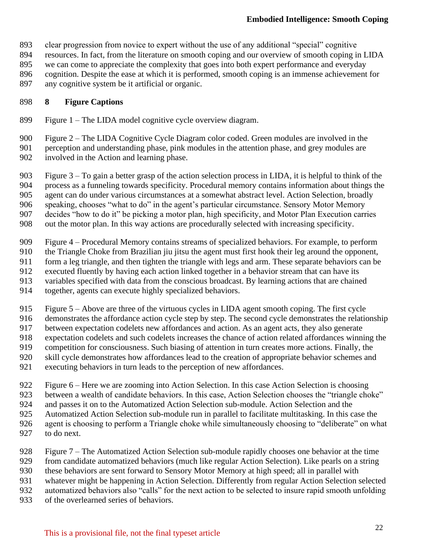- clear progression from novice to expert without the use of any additional "special" cognitive
- resources. In fact, from the literature on smooth coping and our overview of smooth coping in LIDA
- we can come to appreciate the complexity that goes into both expert performance and everyday
- 896 cognition. Despite the ease at which it is performed, smooth coping is an immense achievement for any cognitive system be it artificial or organic.
- any cognitive system be it artificial or organic.

### **8 Figure Captions**

- Figure 1 The LIDA model cognitive cycle overview diagram.
- Figure 2 The LIDA Cognitive Cycle Diagram color coded. Green modules are involved in the perception and understanding phase, pink modules in the attention phase, and grey modules are involved in the Action and learning phase.
- Figure 3 To gain a better grasp of the action selection process in LIDA, it is helpful to think of the
- process as a funneling towards specificity. Procedural memory contains information about things the
- agent can do under various circumstances at a somewhat abstract level. Action Selection, broadly
- speaking, chooses "what to do" in the agent's particular circumstance. Sensory Motor Memory
- decides "how to do it" be picking a motor plan, high specificity, and Motor Plan Execution carries out the motor plan. In this way actions are procedurally selected with increasing specificity.
- 
- Figure 4 Procedural Memory contains streams of specialized behaviors. For example, to perform
- the Triangle Choke from Brazilian jiu jitsu the agent must first hook their leg around the opponent,
- 911 form a leg triangle, and then tighten the triangle with legs and arm. These separate behaviors can be executed fluently by having each action linked together in a behavior stream that can have its
- executed fluently by having each action linked together in a behavior stream that can have its
- variables specified with data from the conscious broadcast. By learning actions that are chained
- together, agents can execute highly specialized behaviors.
- Figure 5 Above are three of the virtuous cycles in LIDA agent smooth coping. The first cycle
- demonstrates the affordance action cycle step by step. The second cycle demonstrates the relationship
- between expectation codelets new affordances and action. As an agent acts, they also generate
- expectation codelets and such codelets increases the chance of action related affordances winning the competition for consciousness. Such biasing of attention in turn creates more actions. Finally, the
- skill cycle demonstrates how affordances lead to the creation of appropriate behavior schemes and
- executing behaviors in turn leads to the perception of new affordances.
	- Figure 6 Here we are zooming into Action Selection. In this case Action Selection is choosing
	- between a wealth of candidate behaviors. In this case, Action Selection chooses the "triangle choke"
	- and passes it on to the Automatized Action Selection sub-module. Action Selection and the
	- Automatized Action Selection sub-module run in parallel to facilitate multitasking. In this case the
	- 926 agent is choosing to perform a Triangle choke while simultaneously choosing to "deliberate" on what to do next.
	- to do next.
	- Figure 7 The Automatized Action Selection sub-module rapidly chooses one behavior at the time
	- from candidate automatized behaviors (much like regular Action Selection). Like pearls on a string
	- these behaviors are sent forward to Sensory Motor Memory at high speed; all in parallel with
	- whatever might be happening in Action Selection. Differently from regular Action Selection selected
	- automatized behaviors also "calls" for the next action to be selected to insure rapid smooth unfolding
	- of the overlearned series of behaviors.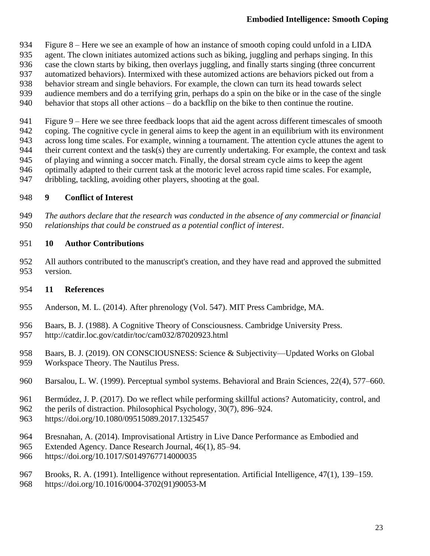- Figure 8 Here we see an example of how an instance of smooth coping could unfold in a LIDA
- agent. The clown initiates automized actions such as biking, juggling and perhaps singing. In this
- case the clown starts by biking, then overlays juggling, and finally starts singing (three concurrent
- automatized behaviors). Intermixed with these automized actions are behaviors picked out from a
- behavior stream and single behaviors. For example, the clown can turn its head towards select
- audience members and do a terrifying grin, perhaps do a spin on the bike or in the case of the single
- 940 behavior that stops all other actions do a backflip on the bike to then continue the routine.
- Figure 9 Here we see three feedback loops that aid the agent across different timescales of smooth
- coping. The cognitive cycle in general aims to keep the agent in an equilibrium with its environment
- across long time scales. For example, winning a tournament. The attention cycle attunes the agent to
- 944 their current context and the task(s) they are currently undertaking. For example, the context and task
- of playing and winning a soccer match. Finally, the dorsal stream cycle aims to keep the agent
- optimally adapted to their current task at the motoric level across rapid time scales. For example,
- dribbling, tackling, avoiding other players, shooting at the goal.

### **9 Conflict of Interest**

 *The authors declare that the research was conducted in the absence of any commercial or financial relationships that could be construed as a potential conflict of interest*.

### **10 Author Contributions**

 All authors contributed to the manuscript's creation, and they have read and approved the submitted version.

## **11 References**

- Anderson, M. L. (2014). After phrenology (Vol. 547). MIT Press Cambridge, MA.
- Baars, B. J. (1988). A Cognitive Theory of Consciousness. Cambridge University Press. http://catdir.loc.gov/catdir/toc/cam032/87020923.html
- Baars, B. J. (2019). ON CONSCIOUSNESS: Science & Subjectivity—Updated Works on Global Workspace Theory. The Nautilus Press.
- Barsalou, L. W. (1999). Perceptual symbol systems. Behavioral and Brain Sciences, 22(4), 577–660.
- Bermúdez, J. P. (2017). Do we reflect while performing skillful actions? Automaticity, control, and
- the perils of distraction. Philosophical Psychology, 30(7), 896–924.
- https://doi.org/10.1080/09515089.2017.1325457
- Bresnahan, A. (2014). Improvisational Artistry in Live Dance Performance as Embodied and
- Extended Agency. Dance Research Journal, 46(1), 85–94.
- https://doi.org/10.1017/S0149767714000035
- Brooks, R. A. (1991). Intelligence without representation. Artificial Intelligence, 47(1), 139–159.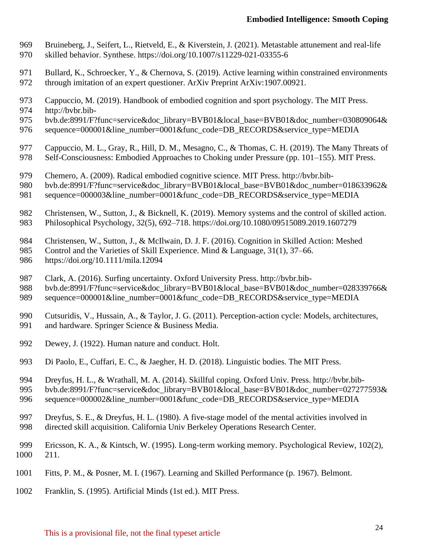- Bruineberg, J., Seifert, L., Rietveld, E., & Kiverstein, J. (2021). Metastable attunement and real-life skilled behavior. Synthese. https://doi.org/10.1007/s11229-021-03355-6
- 971 Bullard, K., Schroecker, Y., & Chernova, S. (2019). Active learning within constrained environments through imitation of an expert questioner. ArXiv Preprint ArXiv:1907.00921.
- Cappuccio, M. (2019). Handbook of embodied cognition and sport psychology. The MIT Press.
- http://bvbr.bib-
- 975 bvb.de:8991/F?func=service&doc\_library=BVB01&local\_base=BVB01&doc\_number=030809064&
- sequence=000001&line\_number=0001&func\_code=DB\_RECORDS&service\_type=MEDIA
- Cappuccio, M. L., Gray, R., Hill, D. M., Mesagno, C., & Thomas, C. H. (2019). The Many Threats of 978 Self-Consciousness: Embodied Approaches to Choking under Pressure (pp. 101–155). MIT Press.
- Chemero, A. (2009). Radical embodied cognitive science. MIT Press. http://bvbr.bib-
- bvb.de:8991/F?func=service&doc\_library=BVB01&local\_base=BVB01&doc\_number=018633962&
- sequence=000003&line\_number=0001&func\_code=DB\_RECORDS&service\_type=MEDIA
- 982 Christensen, W., Sutton, J., & Bicknell, K. (2019). Memory systems and the control of skilled action.<br>983 Philosophical Psychology, 32(5), 692–718. https://doi.org/10.1080/09515089.2019.1607279 Philosophical Psychology, 32(5), 692–718. https://doi.org/10.1080/09515089.2019.1607279
- Christensen, W., Sutton, J., & McIlwain, D. J. F. (2016). Cognition in Skilled Action: Meshed
- 985 Control and the Varieties of Skill Experience. Mind & Language, 31(1), 37–66.
- https://doi.org/10.1111/mila.12094
- Clark, A. (2016). Surfing uncertainty. Oxford University Press. http://bvbr.bib-
- 988 bvb.de:8991/F?func=service&doc\_library=BVB01&local\_base=BVB01&doc\_number=028339766&
- 989 sequence=000001&line\_number=0001&func\_code=DB\_RECORDS&service\_type=MEDIA
- Cutsuridis, V., Hussain, A., & Taylor, J. G. (2011). Perception-action cycle: Models, architectures, and hardware. Springer Science & Business Media.
- 
- Dewey, J. (1922). Human nature and conduct. Holt.
- Di Paolo, E., Cuffari, E. C., & Jaegher, H. D. (2018). Linguistic bodies. The MIT Press.
- Dreyfus, H. L., & Wrathall, M. A. (2014). Skillful coping. Oxford Univ. Press. http://bvbr.bib-
- bvb.de:8991/F?func=service&doc\_library=BVB01&local\_base=BVB01&doc\_number=027277593&
- sequence=000002&line\_number=0001&func\_code=DB\_RECORDS&service\_type=MEDIA
- Dreyfus, S. E., & Dreyfus, H. L. (1980). A five-stage model of the mental activities involved in directed skill acquisition. California Univ Berkeley Operations Research Center.
- Ericsson, K. A., & Kintsch, W. (1995). Long-term working memory. Psychological Review, 102(2), 211.
- Fitts, P. M., & Posner, M. I. (1967). Learning and Skilled Performance (p. 1967). Belmont.
- Franklin, S. (1995). Artificial Minds (1st ed.). MIT Press.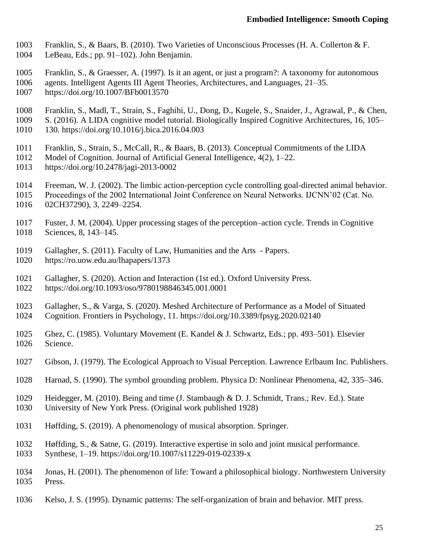- Franklin, S., & Baars, B. (2010). Two Varieties of Unconscious Processes (H. A. Collerton & F.
- LeBeau, Eds.; pp. 91–102). John Benjamin.
- Franklin, S., & Graesser, A. (1997). Is it an agent, or just a program?: A taxonomy for autonomous
- agents. Intelligent Agents III Agent Theories, Architectures, and Languages, 21–35.
- https://doi.org/10.1007/BFb0013570
- Franklin, S., Madl, T., Strain, S., Faghihi, U., Dong, D., Kugele, S., Snaider, J., Agrawal, P., & Chen,
- S. (2016). A LIDA cognitive model tutorial. Biologically Inspired Cognitive Architectures, 16, 105–
- 130. https://doi.org/10.1016/j.bica.2016.04.003
- Franklin, S., Strain, S., McCall, R., & Baars, B. (2013). Conceptual Commitments of the LIDA
- Model of Cognition. Journal of Artificial General Intelligence, 4(2), 1–22.
- https://doi.org/10.2478/jagi-2013-0002
- Freeman, W. J. (2002). The limbic action-perception cycle controlling goal-directed animal behavior.
- Proceedings of the 2002 International Joint Conference on Neural Networks. IJCNN'02 (Cat. No. 02CH37290), 3, 2249–2254.
- Fuster, J. M. (2004). Upper processing stages of the perception–action cycle. Trends in Cognitive Sciences, 8, 143–145.
- Gallagher, S. (2011). Faculty of Law, Humanities and the Arts Papers. https://ro.uow.edu.au/lhapapers/1373
- Gallagher, S. (2020). Action and Interaction (1st ed.). Oxford University Press. https://doi.org/10.1093/oso/9780198846345.001.0001
- Gallagher, S., & Varga, S. (2020). Meshed Architecture of Performance as a Model of Situated Cognition. Frontiers in Psychology, 11. https://doi.org/10.3389/fpsyg.2020.02140
- Ghez, C. (1985). Voluntary Movement (E. Kandel & J. Schwartz, Eds.; pp. 493–501). Elsevier Science.
- Gibson, J. (1979). The Ecological Approach to Visual Perception. Lawrence Erlbaum Inc. Publishers.
- Harnad, S. (1990). The symbol grounding problem. Physica D: Nonlinear Phenomena, 42, 335–346.
- Heidegger, M. (2010). Being and time (J. Stambaugh & D. J. Schmidt, Trans.; Rev. Ed.). State University of New York Press. (Original work published 1928)
- 
- Høffding, S. (2019). A phenomenology of musical absorption. Springer.
- Høffding, S., & Satne, G. (2019). Interactive expertise in solo and joint musical performance.
- Synthese, 1–19. https://doi.org/10.1007/s11229-019-02339-x
- Jonas, H. (2001). The phenomenon of life: Toward a philosophical biology. Northwestern University Press.
- Kelso, J. S. (1995). Dynamic patterns: The self-organization of brain and behavior. MIT press.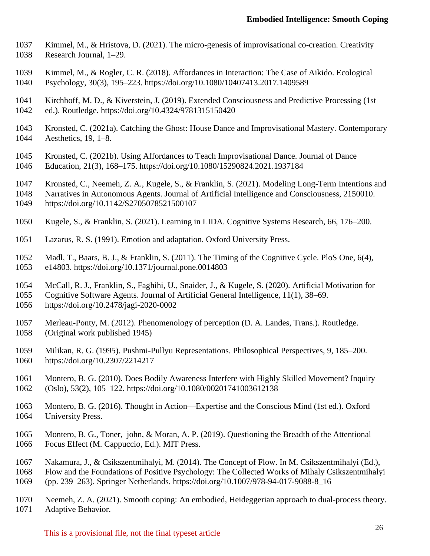- Kimmel, M., & Hristova, D. (2021). The micro-genesis of improvisational co-creation. Creativity Research Journal, 1–29.
- Kimmel, M., & Rogler, C. R. (2018). Affordances in Interaction: The Case of Aikido. Ecological Psychology, 30(3), 195–223. https://doi.org/10.1080/10407413.2017.1409589
- Kirchhoff, M. D., & Kiverstein, J. (2019). Extended Consciousness and Predictive Processing (1st ed.). Routledge. https://doi.org/10.4324/9781315150420
- Kronsted, C. (2021a). Catching the Ghost: House Dance and Improvisational Mastery. Contemporary Aesthetics, 19, 1–8.
- Kronsted, C. (2021b). Using Affordances to Teach Improvisational Dance. Journal of Dance
- Education, 21(3), 168–175. https://doi.org/10.1080/15290824.2021.1937184
- Kronsted, C., Neemeh, Z. A., Kugele, S., & Franklin, S. (2021). Modeling Long-Term Intentions and
- Narratives in Autonomous Agents. Journal of Artificial Intelligence and Consciousness, 2150010. https://doi.org/10.1142/S2705078521500107
- Kugele, S., & Franklin, S. (2021). Learning in LIDA. Cognitive Systems Research, 66, 176–200.
- Lazarus, R. S. (1991). Emotion and adaptation. Oxford University Press.
- Madl, T., Baars, B. J., & Franklin, S. (2011). The Timing of the Cognitive Cycle. PloS One, 6(4), e14803. https://doi.org/10.1371/journal.pone.0014803
- McCall, R. J., Franklin, S., Faghihi, U., Snaider, J., & Kugele, S. (2020). Artificial Motivation for
- Cognitive Software Agents. Journal of Artificial General Intelligence, 11(1), 38–69.
- https://doi.org/10.2478/jagi-2020-0002
- Merleau-Ponty, M. (2012). Phenomenology of perception (D. A. Landes, Trans.). Routledge. (Original work published 1945)
- Milikan, R. G. (1995). Pushmi-Pullyu Representations. Philosophical Perspectives, 9, 185–200. https://doi.org/10.2307/2214217
- Montero, B. G. (2010). Does Bodily Awareness Interfere with Highly Skilled Movement? Inquiry (Oslo), 53(2), 105–122. https://doi.org/10.1080/00201741003612138
- Montero, B. G. (2016). Thought in Action—Expertise and the Conscious Mind (1st ed.). Oxford University Press.
- Montero, B. G., Toner, john, & Moran, A. P. (2019). Questioning the Breadth of the Attentional Focus Effect (M. Cappuccio, Ed.). MIT Press.
- Nakamura, J., & Csikszentmihalyi, M. (2014). The Concept of Flow. In M. Csikszentmihalyi (Ed.),
- Flow and the Foundations of Positive Psychology: The Collected Works of Mihaly Csikszentmihalyi (pp. 239–263). Springer Netherlands. https://doi.org/10.1007/978-94-017-9088-8\_16
- Neemeh, Z. A. (2021). Smooth coping: An embodied, Heideggerian approach to dual-process theory. Adaptive Behavior.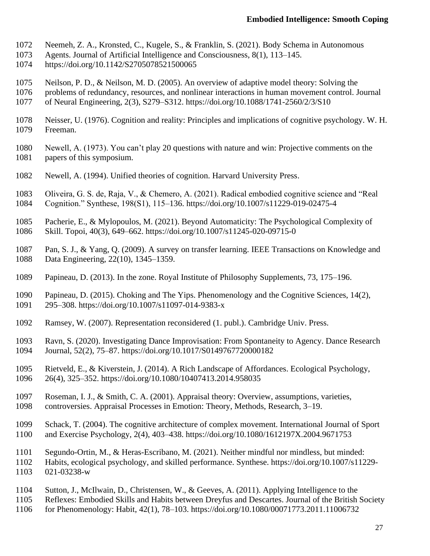- Neemeh, Z. A., Kronsted, C., Kugele, S., & Franklin, S. (2021). Body Schema in Autonomous
- Agents. Journal of Artificial Intelligence and Consciousness, 8(1), 113–145.
- https://doi.org/10.1142/S2705078521500065
- Neilson, P. D., & Neilson, M. D. (2005). An overview of adaptive model theory: Solving the
- problems of redundancy, resources, and nonlinear interactions in human movement control. Journal
- of Neural Engineering, 2(3), S279–S312. https://doi.org/10.1088/1741-2560/2/3/S10
- Neisser, U. (1976). Cognition and reality: Principles and implications of cognitive psychology. W. H. Freeman.
- Newell, A. (1973). You can't play 20 questions with nature and win: Projective comments on the papers of this symposium.
- Newell, A. (1994). Unified theories of cognition. Harvard University Press.
- Oliveira, G. S. de, Raja, V., & Chemero, A. (2021). Radical embodied cognitive science and "Real Cognition." Synthese, 198(S1), 115–136. https://doi.org/10.1007/s11229-019-02475-4
- Pacherie, E., & Mylopoulos, M. (2021). Beyond Automaticity: The Psychological Complexity of Skill. Topoi, 40(3), 649–662. https://doi.org/10.1007/s11245-020-09715-0
- Pan, S. J., & Yang, Q. (2009). A survey on transfer learning. IEEE Transactions on Knowledge and Data Engineering, 22(10), 1345–1359.
- Papineau, D. (2013). In the zone. Royal Institute of Philosophy Supplements, 73, 175–196.
- Papineau, D. (2015). Choking and The Yips. Phenomenology and the Cognitive Sciences, 14(2), 295–308. https://doi.org/10.1007/s11097-014-9383-x
- Ramsey, W. (2007). Representation reconsidered (1. publ.). Cambridge Univ. Press.
- Ravn, S. (2020). Investigating Dance Improvisation: From Spontaneity to Agency. Dance Research Journal, 52(2), 75–87. https://doi.org/10.1017/S0149767720000182
- Rietveld, E., & Kiverstein, J. (2014). A Rich Landscape of Affordances. Ecological Psychology, 26(4), 325–352. https://doi.org/10.1080/10407413.2014.958035
- Roseman, I. J., & Smith, C. A. (2001). Appraisal theory: Overview, assumptions, varieties, controversies. Appraisal Processes in Emotion: Theory, Methods, Research, 3–19.
- Schack, T. (2004). The cognitive architecture of complex movement. International Journal of Sport and Exercise Psychology, 2(4), 403–438. https://doi.org/10.1080/1612197X.2004.9671753
- Segundo-Ortin, M., & Heras-Escribano, M. (2021). Neither mindful nor mindless, but minded:
- Habits, ecological psychology, and skilled performance. Synthese. https://doi.org/10.1007/s11229- 021-03238-w
- Sutton, J., McIlwain, D., Christensen, W., & Geeves, A. (2011). Applying Intelligence to the
- Reflexes: Embodied Skills and Habits between Dreyfus and Descartes. Journal of the British Society
- for Phenomenology: Habit, 42(1), 78–103. https://doi.org/10.1080/00071773.2011.11006732